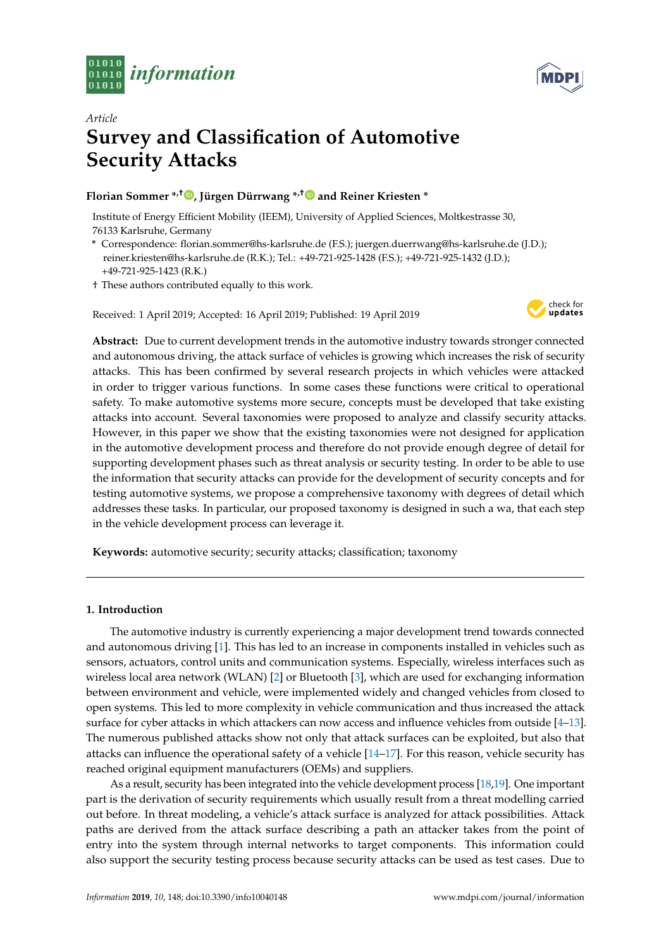



# *Article* **Survey and Classification of Automotive Security Attacks**

# **Florian Sommer \*,† [,](https://orcid.org/0000-0002-4009-7164) Jürgen Dürrwang \*,[†](https://orcid.org/0000-0001-6045-1565) and Reiner Kriesten \***

Institute of Energy Efficient Mobility (IEEM), University of Applied Sciences, Moltkestrasse 30, 76133 Karlsruhe, Germany

- **\*** Correspondence: florian.sommer@hs-karlsruhe.de (F.S.); juergen.duerrwang@hs-karlsruhe.de (J.D.); reiner.kriesten@hs-karlsruhe.de (R.K.); Tel.: +49-721-925-1428 (F.S.); +49-721-925-1432 (J.D.); +49-721-925-1423 (R.K.)
- † These authors contributed equally to this work.

Received: 1 April 2019; Accepted: 16 April 2019; Published: 19 April 2019



**Abstract:** Due to current development trends in the automotive industry towards stronger connected and autonomous driving, the attack surface of vehicles is growing which increases the risk of security attacks. This has been confirmed by several research projects in which vehicles were attacked in order to trigger various functions. In some cases these functions were critical to operational safety. To make automotive systems more secure, concepts must be developed that take existing attacks into account. Several taxonomies were proposed to analyze and classify security attacks. However, in this paper we show that the existing taxonomies were not designed for application in the automotive development process and therefore do not provide enough degree of detail for supporting development phases such as threat analysis or security testing. In order to be able to use the information that security attacks can provide for the development of security concepts and for testing automotive systems, we propose a comprehensive taxonomy with degrees of detail which addresses these tasks. In particular, our proposed taxonomy is designed in such a wa, that each step in the vehicle development process can leverage it.

**Keywords:** automotive security; security attacks; classification; taxonomy

# <span id="page-0-0"></span>**1. Introduction**

The automotive industry is currently experiencing a major development trend towards connected and autonomous driving [\[1\]](#page-24-0). This has led to an increase in components installed in vehicles such as sensors, actuators, control units and communication systems. Especially, wireless interfaces such as wireless local area network (WLAN) [\[2\]](#page-24-1) or Bluetooth [\[3\]](#page-24-2), which are used for exchanging information between environment and vehicle, were implemented widely and changed vehicles from closed to open systems. This led to more complexity in vehicle communication and thus increased the attack surface for cyber attacks in which attackers can now access and influence vehicles from outside [\[4–](#page-25-0)[13\]](#page-25-1). The numerous published attacks show not only that attack surfaces can be exploited, but also that attacks can influence the operational safety of a vehicle [\[14–](#page-25-2)[17\]](#page-25-3). For this reason, vehicle security has reached original equipment manufacturers (OEMs) and suppliers.

As a result, security has been integrated into the vehicle development process [\[18](#page-25-4)[,19\]](#page-25-5). One important part is the derivation of security requirements which usually result from a threat modelling carried out before. In threat modeling, a vehicle's attack surface is analyzed for attack possibilities. Attack paths are derived from the attack surface describing a path an attacker takes from the point of entry into the system through internal networks to target components. This information could also support the security testing process because security attacks can be used as test cases. Due to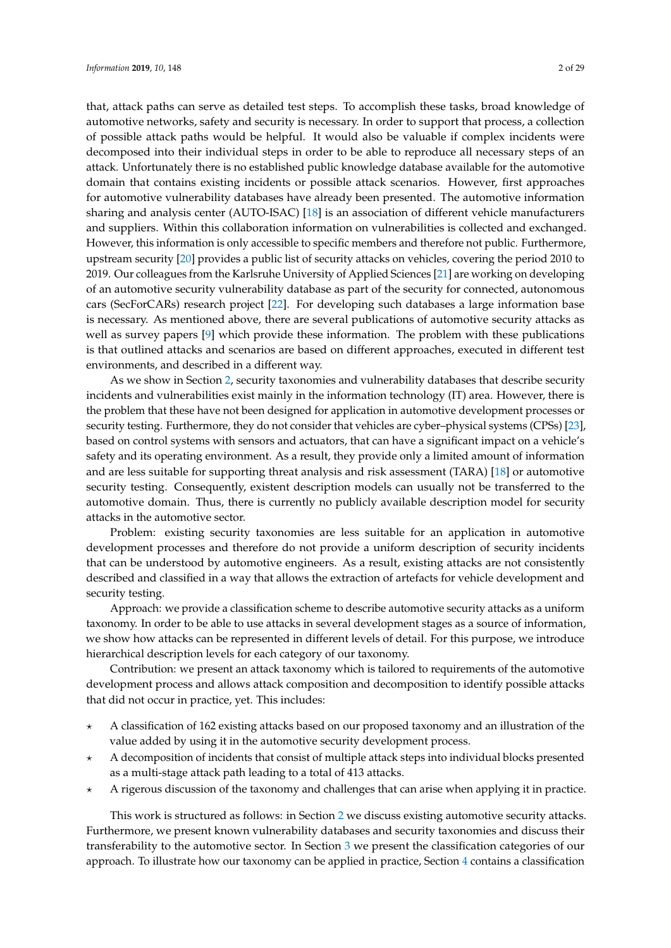that, attack paths can serve as detailed test steps. To accomplish these tasks, broad knowledge of automotive networks, safety and security is necessary. In order to support that process, a collection of possible attack paths would be helpful. It would also be valuable if complex incidents were decomposed into their individual steps in order to be able to reproduce all necessary steps of an attack. Unfortunately there is no established public knowledge database available for the automotive domain that contains existing incidents or possible attack scenarios. However, first approaches for automotive vulnerability databases have already been presented. The automotive information sharing and analysis center (AUTO-ISAC) [\[18\]](#page-25-4) is an association of different vehicle manufacturers and suppliers. Within this collaboration information on vulnerabilities is collected and exchanged. However, this information is only accessible to specific members and therefore not public. Furthermore, upstream security [\[20\]](#page-25-6) provides a public list of security attacks on vehicles, covering the period 2010 to 2019. Our colleagues from the Karlsruhe University of Applied Sciences [\[21\]](#page-25-7) are working on developing of an automotive security vulnerability database as part of the security for connected, autonomous cars (SecForCARs) research project [\[22\]](#page-25-8). For developing such databases a large information base is necessary. As mentioned above, there are several publications of automotive security attacks as well as survey papers [\[9\]](#page-25-9) which provide these information. The problem with these publications is that outlined attacks and scenarios are based on different approaches, executed in different test environments, and described in a different way.

As we show in Section [2,](#page-2-0) security taxonomies and vulnerability databases that describe security incidents and vulnerabilities exist mainly in the information technology (IT) area. However, there is the problem that these have not been designed for application in automotive development processes or security testing. Furthermore, they do not consider that vehicles are cyber–physical systems (CPSs) [\[23\]](#page-25-10), based on control systems with sensors and actuators, that can have a significant impact on a vehicle's safety and its operating environment. As a result, they provide only a limited amount of information and are less suitable for supporting threat analysis and risk assessment (TARA) [\[18\]](#page-25-4) or automotive security testing. Consequently, existent description models can usually not be transferred to the automotive domain. Thus, there is currently no publicly available description model for security attacks in the automotive sector.

Problem: existing security taxonomies are less suitable for an application in automotive development processes and therefore do not provide a uniform description of security incidents that can be understood by automotive engineers. As a result, existing attacks are not consistently described and classified in a way that allows the extraction of artefacts for vehicle development and security testing.

Approach: we provide a classification scheme to describe automotive security attacks as a uniform taxonomy. In order to be able to use attacks in several development stages as a source of information, we show how attacks can be represented in different levels of detail. For this purpose, we introduce hierarchical description levels for each category of our taxonomy.

Contribution: we present an attack taxonomy which is tailored to requirements of the automotive development process and allows attack composition and decomposition to identify possible attacks that did not occur in practice, yet. This includes:

- ? A classification of 162 existing attacks based on our proposed taxonomy and an illustration of the value added by using it in the automotive security development process.
- ? A decomposition of incidents that consist of multiple attack steps into individual blocks presented as a multi-stage attack path leading to a total of 413 attacks.
- ? A rigerous discussion of the taxonomy and challenges that can arise when applying it in practice.

This work is structured as follows: in Section [2](#page-2-0) we discuss existing automotive security attacks. Furthermore, we present known vulnerability databases and security taxonomies and discuss their transferability to the automotive sector. In Section [3](#page-4-0) we present the classification categories of our approach. To illustrate how our taxonomy can be applied in practice, Section [4](#page-19-0) contains a classification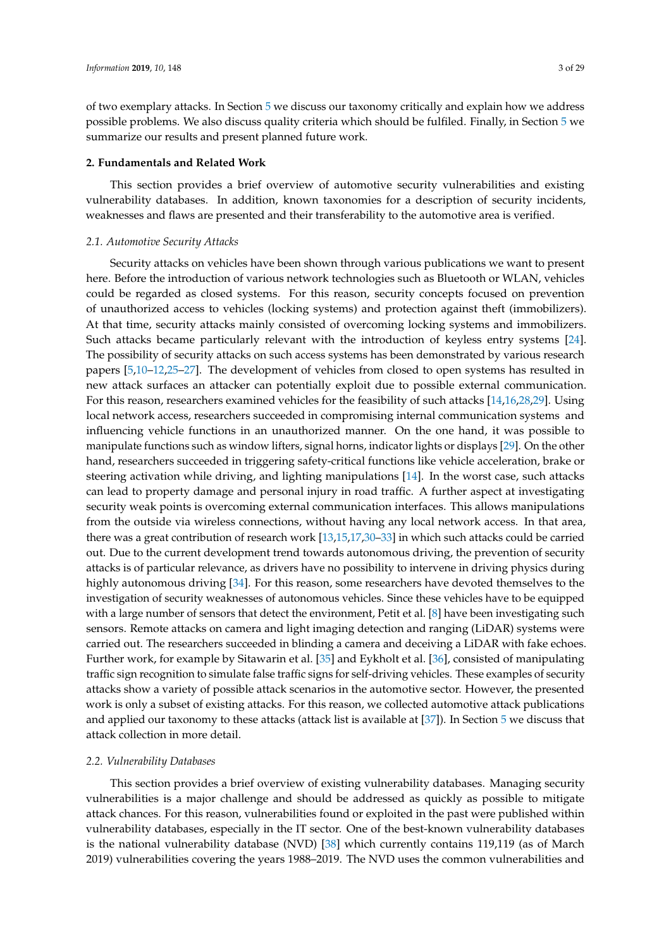of two exemplary attacks. In Section [5](#page-22-0) we discuss our taxonomy critically and explain how we address possible problems. We also discuss quality criteria which should be fulfiled. Finally, in Section [5](#page-22-0) we summarize our results and present planned future work.

#### <span id="page-2-0"></span>**2. Fundamentals and Related Work**

This section provides a brief overview of automotive security vulnerabilities and existing vulnerability databases. In addition, known taxonomies for a description of security incidents, weaknesses and flaws are presented and their transferability to the automotive area is verified.

## *2.1. Automotive Security Attacks*

Security attacks on vehicles have been shown through various publications we want to present here. Before the introduction of various network technologies such as Bluetooth or WLAN, vehicles could be regarded as closed systems. For this reason, security concepts focused on prevention of unauthorized access to vehicles (locking systems) and protection against theft (immobilizers). At that time, security attacks mainly consisted of overcoming locking systems and immobilizers. Such attacks became particularly relevant with the introduction of keyless entry systems [\[24\]](#page-25-11). The possibility of security attacks on such access systems has been demonstrated by various research papers [\[5](#page-25-12)[,10–](#page-25-13)[12](#page-25-14)[,25](#page-25-15)[–27\]](#page-26-0). The development of vehicles from closed to open systems has resulted in new attack surfaces an attacker can potentially exploit due to possible external communication. For this reason, researchers examined vehicles for the feasibility of such attacks [\[14,](#page-25-2)[16,](#page-25-16)[28,](#page-26-1)[29\]](#page-26-2). Using local network access, researchers succeeded in compromising internal communication systems and influencing vehicle functions in an unauthorized manner. On the one hand, it was possible to manipulate functions such as window lifters, signal horns, indicator lights or displays [\[29\]](#page-26-2). On the other hand, researchers succeeded in triggering safety-critical functions like vehicle acceleration, brake or steering activation while driving, and lighting manipulations [\[14\]](#page-25-2). In the worst case, such attacks can lead to property damage and personal injury in road traffic. A further aspect at investigating security weak points is overcoming external communication interfaces. This allows manipulations from the outside via wireless connections, without having any local network access. In that area, there was a great contribution of research work [\[13](#page-25-1)[,15](#page-25-17)[,17](#page-25-3)[,30](#page-26-3)[–33\]](#page-26-4) in which such attacks could be carried out. Due to the current development trend towards autonomous driving, the prevention of security attacks is of particular relevance, as drivers have no possibility to intervene in driving physics during highly autonomous driving [\[34\]](#page-26-5). For this reason, some researchers have devoted themselves to the investigation of security weaknesses of autonomous vehicles. Since these vehicles have to be equipped with a large number of sensors that detect the environment, Petit et al. [\[8\]](#page-25-18) have been investigating such sensors. Remote attacks on camera and light imaging detection and ranging (LiDAR) systems were carried out. The researchers succeeded in blinding a camera and deceiving a LiDAR with fake echoes. Further work, for example by Sitawarin et al. [\[35\]](#page-26-6) and Eykholt et al. [\[36\]](#page-26-7), consisted of manipulating traffic sign recognition to simulate false traffic signs for self-driving vehicles. These examples of security attacks show a variety of possible attack scenarios in the automotive sector. However, the presented work is only a subset of existing attacks. For this reason, we collected automotive attack publications and applied our taxonomy to these attacks (attack list is available at [\[37\]](#page-26-8)). In Section [5](#page-22-0) we discuss that attack collection in more detail.

#### *2.2. Vulnerability Databases*

This section provides a brief overview of existing vulnerability databases. Managing security vulnerabilities is a major challenge and should be addressed as quickly as possible to mitigate attack chances. For this reason, vulnerabilities found or exploited in the past were published within vulnerability databases, especially in the IT sector. One of the best-known vulnerability databases is the national vulnerability database (NVD) [\[38\]](#page-26-9) which currently contains 119,119 (as of March 2019) vulnerabilities covering the years 1988–2019. The NVD uses the common vulnerabilities and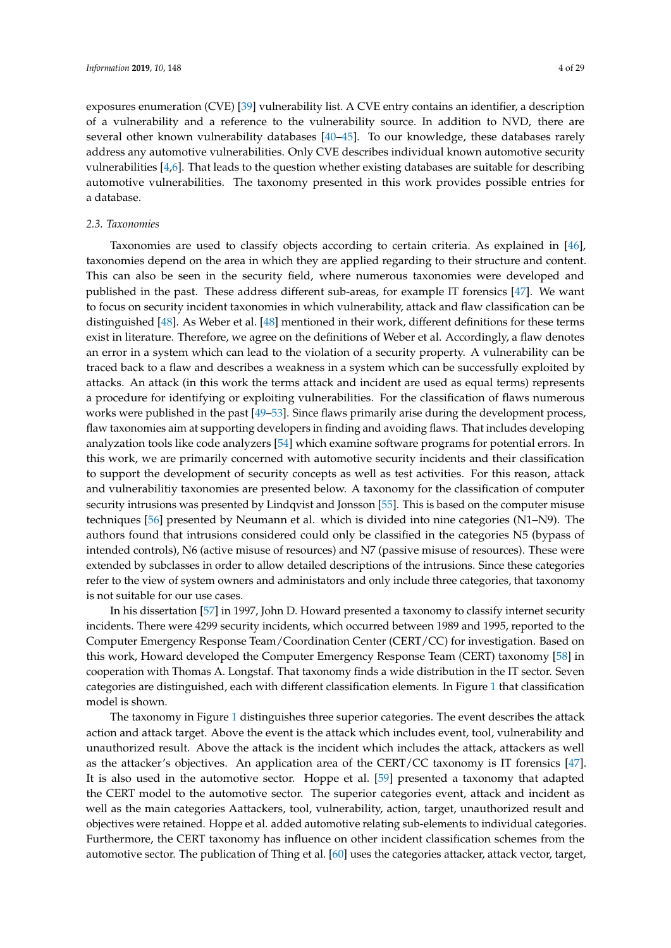exposures enumeration (CVE) [\[39\]](#page-26-10) vulnerability list. A CVE entry contains an identifier, a description of a vulnerability and a reference to the vulnerability source. In addition to NVD, there are several other known vulnerability databases [\[40](#page-26-11)[–45\]](#page-26-12). To our knowledge, these databases rarely address any automotive vulnerabilities. Only CVE describes individual known automotive security vulnerabilities [\[4](#page-25-0)[,6\]](#page-25-19). That leads to the question whether existing databases are suitable for describing automotive vulnerabilities. The taxonomy presented in this work provides possible entries for a database.

#### *2.3. Taxonomies*

Taxonomies are used to classify objects according to certain criteria. As explained in [\[46\]](#page-26-13), taxonomies depend on the area in which they are applied regarding to their structure and content. This can also be seen in the security field, where numerous taxonomies were developed and published in the past. These address different sub-areas, for example IT forensics [\[47\]](#page-26-14). We want to focus on security incident taxonomies in which vulnerability, attack and flaw classification can be distinguished [\[48\]](#page-26-15). As Weber et al. [\[48\]](#page-26-15) mentioned in their work, different definitions for these terms exist in literature. Therefore, we agree on the definitions of Weber et al. Accordingly, a flaw denotes an error in a system which can lead to the violation of a security property. A vulnerability can be traced back to a flaw and describes a weakness in a system which can be successfully exploited by attacks. An attack (in this work the terms attack and incident are used as equal terms) represents a procedure for identifying or exploiting vulnerabilities. For the classification of flaws numerous works were published in the past [\[49](#page-26-16)[–53\]](#page-27-0). Since flaws primarily arise during the development process, flaw taxonomies aim at supporting developers in finding and avoiding flaws. That includes developing analyzation tools like code analyzers [\[54\]](#page-27-1) which examine software programs for potential errors. In this work, we are primarily concerned with automotive security incidents and their classification to support the development of security concepts as well as test activities. For this reason, attack and vulnerabilitiy taxonomies are presented below. A taxonomy for the classification of computer security intrusions was presented by Lindqvist and Jonsson [\[55\]](#page-27-2). This is based on the computer misuse techniques [\[56\]](#page-27-3) presented by Neumann et al. which is divided into nine categories (N1–N9). The authors found that intrusions considered could only be classified in the categories N5 (bypass of intended controls), N6 (active misuse of resources) and N7 (passive misuse of resources). These were extended by subclasses in order to allow detailed descriptions of the intrusions. Since these categories refer to the view of system owners and administators and only include three categories, that taxonomy is not suitable for our use cases.

In his dissertation [\[57\]](#page-27-4) in 1997, John D. Howard presented a taxonomy to classify internet security incidents. There were 4299 security incidents, which occurred between 1989 and 1995, reported to the Computer Emergency Response Team/Coordination Center (CERT/CC) for investigation. Based on this work, Howard developed the Computer Emergency Response Team (CERT) taxonomy [\[58\]](#page-27-5) in cooperation with Thomas A. Longstaf. That taxonomy finds a wide distribution in the IT sector. Seven categories are distinguished, each with different classification elements. In Figure [1](#page-4-1) that classification model is shown.

The taxonomy in Figure [1](#page-4-1) distinguishes three superior categories. The event describes the attack action and attack target. Above the event is the attack which includes event, tool, vulnerability and unauthorized result. Above the attack is the incident which includes the attack, attackers as well as the attacker's objectives. An application area of the CERT/CC taxonomy is IT forensics [\[47\]](#page-26-14). It is also used in the automotive sector. Hoppe et al. [\[59\]](#page-27-6) presented a taxonomy that adapted the CERT model to the automotive sector. The superior categories event, attack and incident as well as the main categories Aattackers, tool, vulnerability, action, target, unauthorized result and objectives were retained. Hoppe et al. added automotive relating sub-elements to individual categories. Furthermore, the CERT taxonomy has influence on other incident classification schemes from the automotive sector. The publication of Thing et al. [\[60\]](#page-27-7) uses the categories attacker, attack vector, target,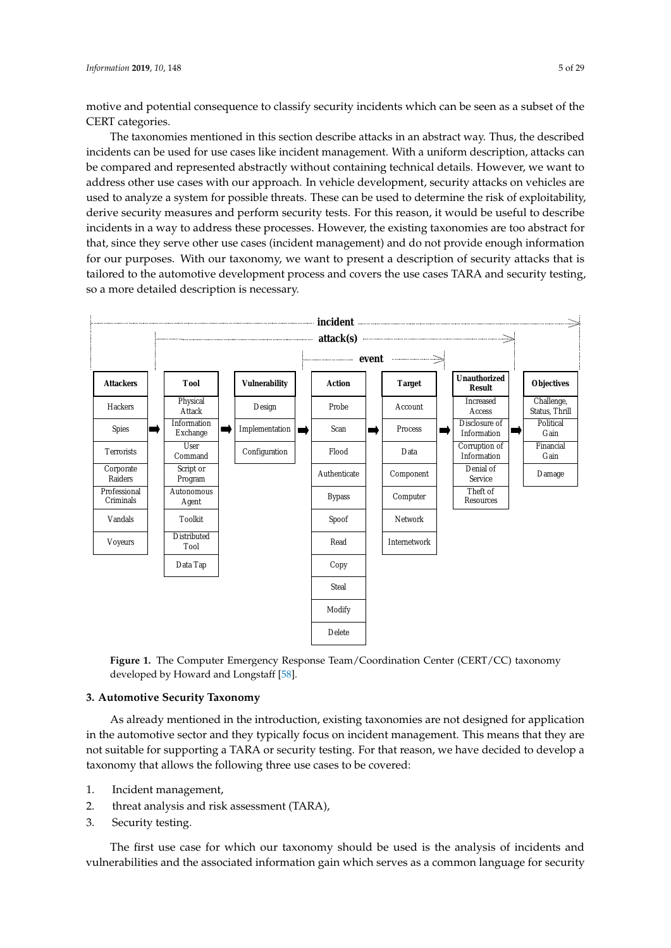motive and potential consequence to classify security incidents which can be seen as a subset of the CERT categories.

The taxonomies mentioned in this section describe attacks in an abstract way. Thus, the described incidents can be used for use cases like incident management. With a uniform description, attacks can be compared and represented abstractly without containing technical details. However, we want to address other use cases with our approach. In vehicle development, security attacks on vehicles are used to analyze a system for possible threats. These can be used to determine the risk of exploitability, derive security measures and perform security tests. For this reason, it would be useful to describe incidents in a way to address these processes. However, the existing taxonomies are too abstract for that, since they serve other use cases (incident management) and do not provide enough information for our purposes. With our taxonomy, we want to present a description of security attacks that is tailored to the automotive development process and covers the use cases TARA and security testing, so a more detailed description is necessary.

<span id="page-4-1"></span>

**Figure 5.4. Computer and Network Incident Taxonomy Figure 1.** The Computer Emergency Response Team/Coordination Center (CERT/CC) taxonomy developed by Howard and Longstaff [\[58\]](#page-27-5).

# <span id="page-4-0"></span>**3. Automotive Security Taxonomy**

As already mentioned in the introduction, existing taxonomies are not designed for application in the automotive sector and they typically focus on incident management. This means that they are not suitable for supporting a TARA or security testing. For that reason, we have decided to develop a taxonomy that allows the following three use cases to be covered:

- 1. Incident management,
- 2. threat analysis and risk assessment (TARA),
- 3. Security testing.

The first use case for which our taxonomy should be used is the analysis of incidents and vulnerabilities and the associated information gain which serves as a common language for security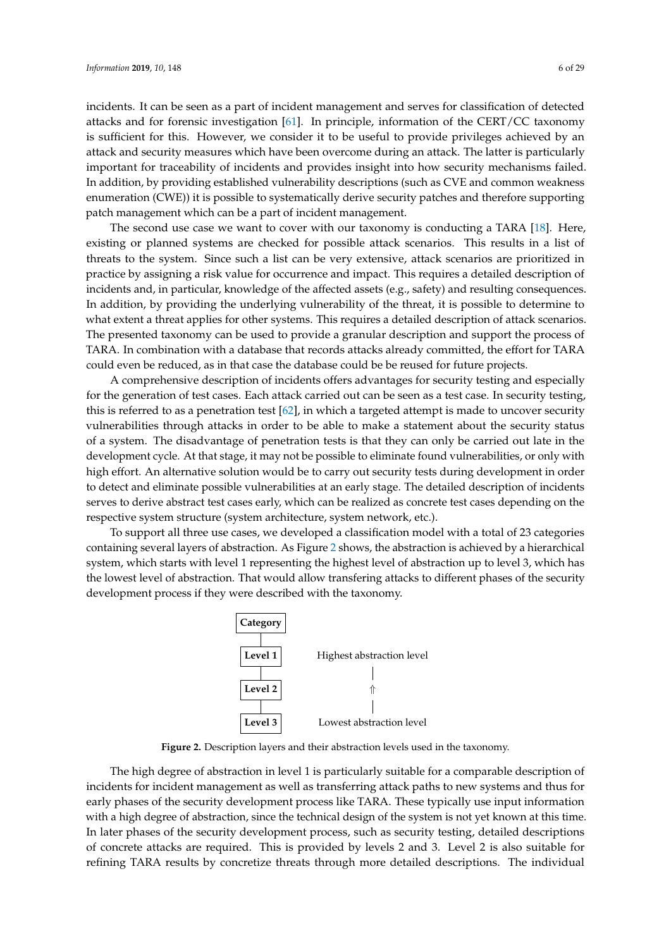incidents. It can be seen as a part of incident management and serves for classification of detected attacks and for forensic investigation [\[61\]](#page-27-8). In principle, information of the CERT/CC taxonomy is sufficient for this. However, we consider it to be useful to provide privileges achieved by an attack and security measures which have been overcome during an attack. The latter is particularly important for traceability of incidents and provides insight into how security mechanisms failed. In addition, by providing established vulnerability descriptions (such as CVE and common weakness enumeration (CWE)) it is possible to systematically derive security patches and therefore supporting patch management which can be a part of incident management.

The second use case we want to cover with our taxonomy is conducting a TARA [\[18\]](#page-25-4). Here, existing or planned systems are checked for possible attack scenarios. This results in a list of threats to the system. Since such a list can be very extensive, attack scenarios are prioritized in practice by assigning a risk value for occurrence and impact. This requires a detailed description of incidents and, in particular, knowledge of the affected assets (e.g., safety) and resulting consequences. In addition, by providing the underlying vulnerability of the threat, it is possible to determine to what extent a threat applies for other systems. This requires a detailed description of attack scenarios. The presented taxonomy can be used to provide a granular description and support the process of TARA. In combination with a database that records attacks already committed, the effort for TARA could even be reduced, as in that case the database could be be reused for future projects.

A comprehensive description of incidents offers advantages for security testing and especially for the generation of test cases. Each attack carried out can be seen as a test case. In security testing, this is referred to as a penetration test [\[62\]](#page-27-9), in which a targeted attempt is made to uncover security vulnerabilities through attacks in order to be able to make a statement about the security status of a system. The disadvantage of penetration tests is that they can only be carried out late in the development cycle. At that stage, it may not be possible to eliminate found vulnerabilities, or only with high effort. An alternative solution would be to carry out security tests during development in order to detect and eliminate possible vulnerabilities at an early stage. The detailed description of incidents serves to derive abstract test cases early, which can be realized as concrete test cases depending on the respective system structure (system architecture, system network, etc.).

<span id="page-5-0"></span>To support all three use cases, we developed a classification model with a total of 23 categories containing several layers of abstraction. As Figure [2](#page-5-0) shows, the abstraction is achieved by a hierarchical system, which starts with level 1 representing the highest level of abstraction up to level 3, which has the lowest level of abstraction. That would allow transfering attacks to different phases of the security development process if they were described with the taxonomy.



**Figure 2.** Description layers and their abstraction levels used in the taxonomy.

The high degree of abstraction in level 1 is particularly suitable for a comparable description of incidents for incident management as well as transferring attack paths to new systems and thus for early phases of the security development process like TARA. These typically use input information with a high degree of abstraction, since the technical design of the system is not yet known at this time. In later phases of the security development process, such as security testing, detailed descriptions of concrete attacks are required. This is provided by levels 2 and 3. Level 2 is also suitable for refining TARA results by concretize threats through more detailed descriptions. The individual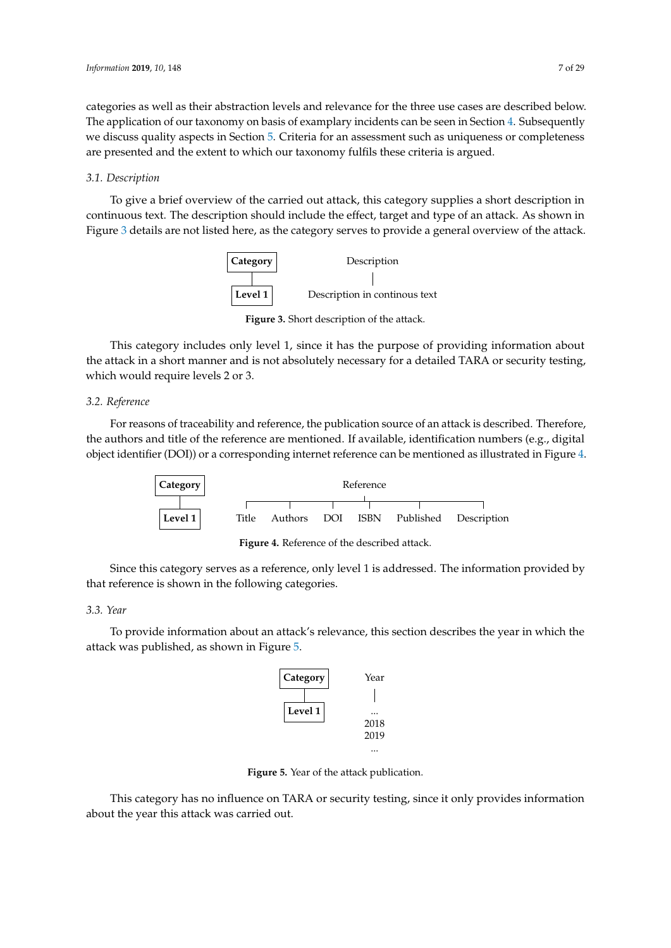categories as well as their abstraction levels and relevance for the three use cases are described below. The application of our taxonomy on basis of examplary incidents can be seen in Section [4.](#page-19-0) Subsequently we discuss quality aspects in Section [5.](#page-22-0) Criteria for an assessment such as uniqueness or completeness are presented and the extent to which our taxonomy fulfils these criteria is argued.

## *3.1. Description*

<span id="page-6-0"></span>To give a brief overview of the carried out attack, this category supplies a short description in continuous text. The description should include the effect, target and type of an attack. As shown in Figure [3](#page-6-0) details are not listed here, as the category serves to provide a general overview of the attack.



**Figure 3.** Short description of the attack.

This category includes only level 1, since it has the purpose of providing information about the attack in a short manner and is not absolutely necessary for a detailed TARA or security testing, which would require levels 2 or 3.

# *3.2. Reference*

<span id="page-6-1"></span>For reasons of traceability and reference, the publication source of an attack is described. Therefore, the authors and title of the reference are mentioned. If available, identification numbers (e.g., digital object identifier (DOI)) or a corresponding internet reference can be mentioned as illustrated in Figure [4.](#page-6-1)



**Figure 4.** Reference of the described attack.

Since this category serves as a reference, only level 1 is addressed. The information provided by that reference is shown in the following categories.

# *3.3. Year*

<span id="page-6-2"></span>To provide information about an attack's relevance, this section describes the year in which the attack was published, as shown in Figure [5.](#page-6-2)



**Figure 5.** Year of the attack publication.

This category has no influence on TARA or security testing, since it only provides information about the year this attack was carried out.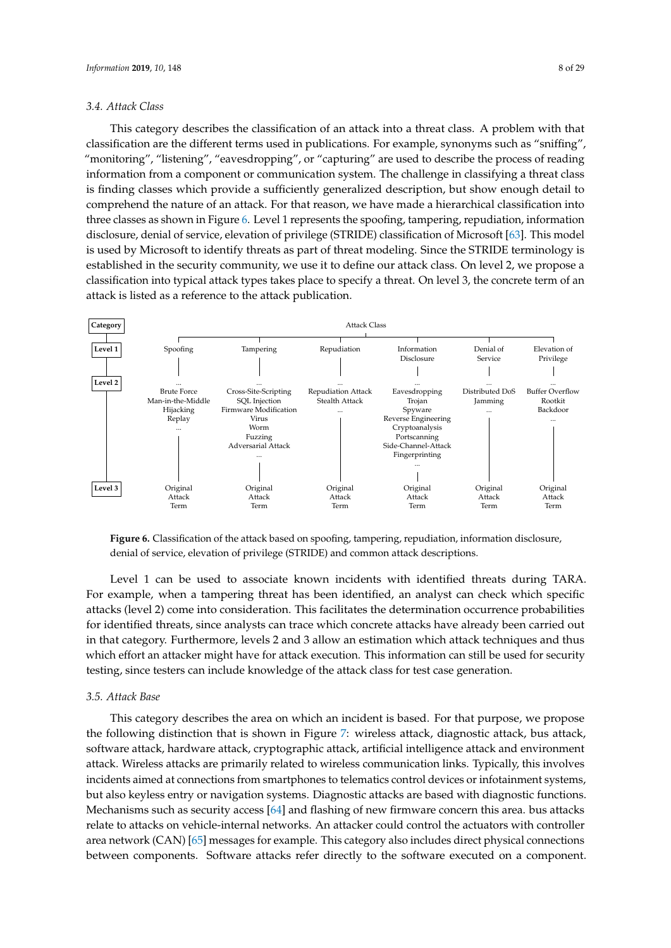#### *3.4. Attack Class*

This category describes the classification of an attack into a threat class. A problem with that classification are the different terms used in publications. For example, synonyms such as "sniffing", "monitoring", "listening", "eavesdropping", or "capturing" are used to describe the process of reading information from a component or communication system. The challenge in classifying a threat class is finding classes which provide a sufficiently generalized description, but show enough detail to comprehend the nature of an attack. For that reason, we have made a hierarchical classification into three classes as shown in Figure [6.](#page-7-0) Level 1 represents the spoofing, tampering, repudiation, information disclosure, denial of service, elevation of privilege (STRIDE) classification of Microsoft [\[63\]](#page-27-10). This model is used by Microsoft to identify threats as part of threat modeling. Since the STRIDE terminology is established in the security community, we use it to define our attack class. On level 2, we propose a classification into typical attack types takes place to specify a threat. On level 3, the concrete term of an attack is listed as a reference to the attack publication.

<span id="page-7-0"></span>

**Figure 6.** Classification of the attack based on spoofing, tampering, repudiation, information disclosure, denial of service, elevation of privilege (STRIDE) and common attack descriptions.

Level 1 can be used to associate known incidents with identified threats during TARA. For example, when a tampering threat has been identified, an analyst can check which specific attacks (level 2) come into consideration. This facilitates the determination occurrence probabilities for identified threats, since analysts can trace which concrete attacks have already been carried out in that category. Furthermore, levels 2 and 3 allow an estimation which attack techniques and thus which effort an attacker might have for attack execution. This information can still be used for security testing, since testers can include knowledge of the attack class for test case generation.

## *3.5. Attack Base*

This category describes the area on which an incident is based. For that purpose, we propose the following distinction that is shown in Figure [7:](#page-8-0) wireless attack, diagnostic attack, bus attack, software attack, hardware attack, cryptographic attack, artificial intelligence attack and environment attack. Wireless attacks are primarily related to wireless communication links. Typically, this involves incidents aimed at connections from smartphones to telematics control devices or infotainment systems, but also keyless entry or navigation systems. Diagnostic attacks are based with diagnostic functions. Mechanisms such as security access [\[64\]](#page-27-11) and flashing of new firmware concern this area. bus attacks relate to attacks on vehicle-internal networks. An attacker could control the actuators with controller area network (CAN) [\[65\]](#page-27-12) messages for example. This category also includes direct physical connections between components. Software attacks refer directly to the software executed on a component.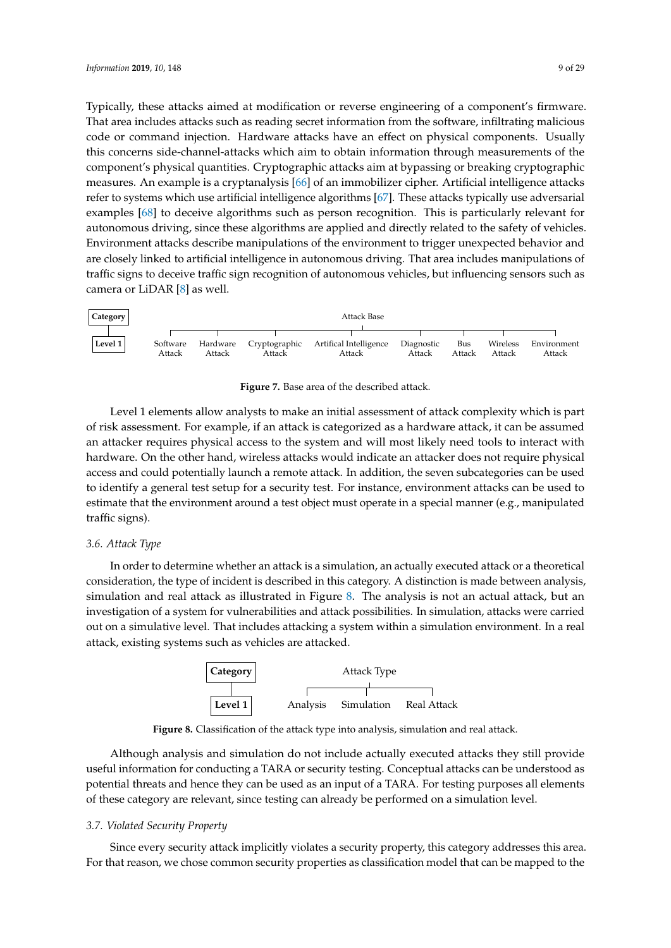Typically, these attacks aimed at modification or reverse engineering of a component's firmware. That area includes attacks such as reading secret information from the software, infiltrating malicious code or command injection. Hardware attacks have an effect on physical components. Usually this concerns side-channel-attacks which aim to obtain information through measurements of the component's physical quantities. Cryptographic attacks aim at bypassing or breaking cryptographic measures. An example is a cryptanalysis [\[66\]](#page-27-13) of an immobilizer cipher. Artificial intelligence attacks refer to systems which use artificial intelligence algorithms [\[67\]](#page-27-14). These attacks typically use adversarial examples [\[68\]](#page-27-15) to deceive algorithms such as person recognition. This is particularly relevant for autonomous driving, since these algorithms are applied and directly related to the safety of vehicles. Environment attacks describe manipulations of the environment to trigger unexpected behavior and are closely linked to artificial intelligence in autonomous driving. That area includes manipulations of traffic signs to deceive traffic sign recognition of autonomous vehicles, but influencing sensors such as camera or LiDAR [\[8\]](#page-25-18) as well.

<span id="page-8-0"></span>

**Figure 7.** Base area of the described attack.

Level 1 elements allow analysts to make an initial assessment of attack complexity which is part of risk assessment. For example, if an attack is categorized as a hardware attack, it can be assumed an attacker requires physical access to the system and will most likely need tools to interact with hardware. On the other hand, wireless attacks would indicate an attacker does not require physical access and could potentially launch a remote attack. In addition, the seven subcategories can be used to identify a general test setup for a security test. For instance, environment attacks can be used to estimate that the environment around a test object must operate in a special manner (e.g., manipulated traffic signs).

## *3.6. Attack Type*

<span id="page-8-1"></span>In order to determine whether an attack is a simulation, an actually executed attack or a theoretical consideration, the type of incident is described in this category. A distinction is made between analysis, simulation and real attack as illustrated in Figure [8.](#page-8-1) The analysis is not an actual attack, but an investigation of a system for vulnerabilities and attack possibilities. In simulation, attacks were carried out on a simulative level. That includes attacking a system within a simulation environment. In a real attack, existing systems such as vehicles are attacked.



**Figure 8.** Classification of the attack type into analysis, simulation and real attack.

Although analysis and simulation do not include actually executed attacks they still provide useful information for conducting a TARA or security testing. Conceptual attacks can be understood as potential threats and hence they can be used as an input of a TARA. For testing purposes all elements of these category are relevant, since testing can already be performed on a simulation level.

## *3.7. Violated Security Property*

Since every security attack implicitly violates a security property, this category addresses this area. For that reason, we chose common security properties as classification model that can be mapped to the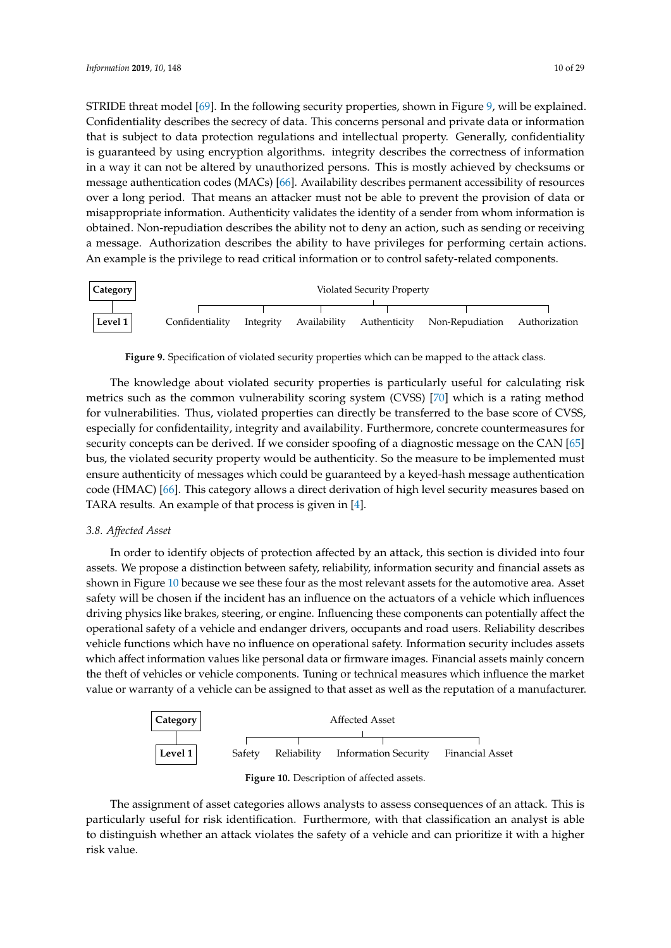STRIDE threat model [\[69\]](#page-27-16). In the following security properties, shown in Figure [9,](#page-9-0) will be explained. Confidentiality describes the secrecy of data. This concerns personal and private data or information that is subject to data protection regulations and intellectual property. Generally, confidentiality is guaranteed by using encryption algorithms. integrity describes the correctness of information in a way it can not be altered by unauthorized persons. This is mostly achieved by checksums or message authentication codes (MACs) [\[66\]](#page-27-13). Availability describes permanent accessibility of resources over a long period. That means an attacker must not be able to prevent the provision of data or misappropriate information. Authenticity validates the identity of a sender from whom information is obtained. Non-repudiation describes the ability not to deny an action, such as sending or receiving a message. Authorization describes the ability to have privileges for performing certain actions. An example is the privilege to read critical information or to control safety-related components.

<span id="page-9-0"></span>

**Figure 9.** Specification of violated security properties which can be mapped to the attack class.

The knowledge about violated security properties is particularly useful for calculating risk metrics such as the common vulnerability scoring system (CVSS) [\[70\]](#page-27-17) which is a rating method for vulnerabilities. Thus, violated properties can directly be transferred to the base score of CVSS, especially for confidentaility, integrity and availability. Furthermore, concrete countermeasures for security concepts can be derived. If we consider spoofing of a diagnostic message on the CAN [\[65\]](#page-27-12) bus, the violated security property would be authenticity. So the measure to be implemented must ensure authenticity of messages which could be guaranteed by a keyed-hash message authentication code (HMAC) [\[66\]](#page-27-13). This category allows a direct derivation of high level security measures based on TARA results. An example of that process is given in [\[4\]](#page-25-0).

# *3.8. Affected Asset*

In order to identify objects of protection affected by an attack, this section is divided into four assets. We propose a distinction between safety, reliability, information security and financial assets as shown in Figure [10](#page-9-1) because we see these four as the most relevant assets for the automotive area. Asset safety will be chosen if the incident has an influence on the actuators of a vehicle which influences driving physics like brakes, steering, or engine. Influencing these components can potentially affect the operational safety of a vehicle and endanger drivers, occupants and road users. Reliability describes vehicle functions which have no influence on operational safety. Information security includes assets which affect information values like personal data or firmware images. Financial assets mainly concern the theft of vehicles or vehicle components. Tuning or technical measures which influence the market value or warranty of a vehicle can be assigned to that asset as well as the reputation of a manufacturer.

<span id="page-9-1"></span>



The assignment of asset categories allows analysts to assess consequences of an attack. This is particularly useful for risk identification. Furthermore, with that classification an analyst is able to distinguish whether an attack violates the safety of a vehicle and can prioritize it with a higher risk value.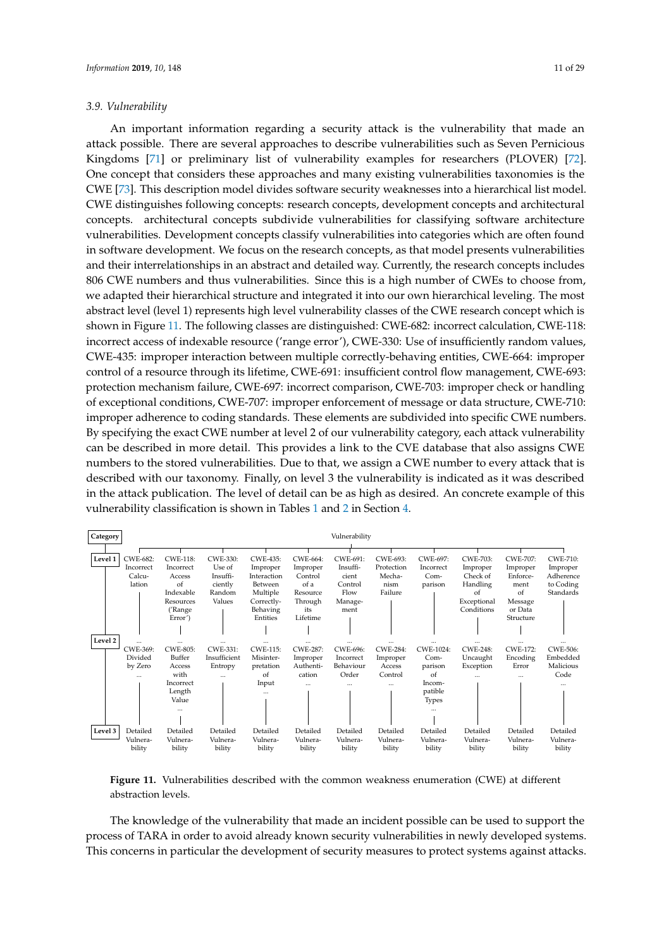An important information regarding a security attack is the vulnerability that made an attack possible. There are several approaches to describe vulnerabilities such as Seven Pernicious Kingdoms [\[71\]](#page-27-18) or preliminary list of vulnerability examples for researchers (PLOVER) [\[72\]](#page-27-19). One concept that considers these approaches and many existing vulnerabilities taxonomies is the CWE [\[73\]](#page-27-20). This description model divides software security weaknesses into a hierarchical list model. CWE distinguishes following concepts: research concepts, development concepts and architectural concepts. architectural concepts subdivide vulnerabilities for classifying software architecture vulnerabilities. Development concepts classify vulnerabilities into categories which are often found in software development. We focus on the research concepts, as that model presents vulnerabilities and their interrelationships in an abstract and detailed way. Currently, the research concepts includes 806 CWE numbers and thus vulnerabilities. Since this is a high number of CWEs to choose from, we adapted their hierarchical structure and integrated it into our own hierarchical leveling. The most abstract level (level 1) represents high level vulnerability classes of the CWE research concept which is shown in Figure [11.](#page-10-0) The following classes are distinguished: CWE-682: incorrect calculation, CWE-118: incorrect access of indexable resource ('range error'), CWE-330: Use of insufficiently random values, CWE-435: improper interaction between multiple correctly-behaving entities, CWE-664: improper control of a resource through its lifetime, CWE-691: insufficient control flow management, CWE-693: protection mechanism failure, CWE-697: incorrect comparison, CWE-703: improper check or handling of exceptional conditions, CWE-707: improper enforcement of message or data structure, CWE-710: improper adherence to coding standards. These elements are subdivided into specific CWE numbers. By specifying the exact CWE number at level 2 of our vulnerability category, each attack vulnerability can be described in more detail. This provides a link to the CVE database that also assigns CWE numbers to the stored vulnerabilities. Due to that, we assign a CWE number to every attack that is described with our taxonomy. Finally, on level 3 the vulnerability is indicated as it was described in the attack publication. The level of detail can be as high as desired. An concrete example of this vulnerability classification is shown in Tables [1](#page-20-0) and [2](#page-21-0) in Section [4.](#page-19-0)

<span id="page-10-0"></span>

**Figure 11.** Vulnerabilities described with the common weakness enumeration (CWE) at different abstraction levels.

The knowledge of the vulnerability that made an incident possible can be used to support the process of TARA in order to avoid already known security vulnerabilities in newly developed systems. This concerns in particular the development of security measures to protect systems against attacks.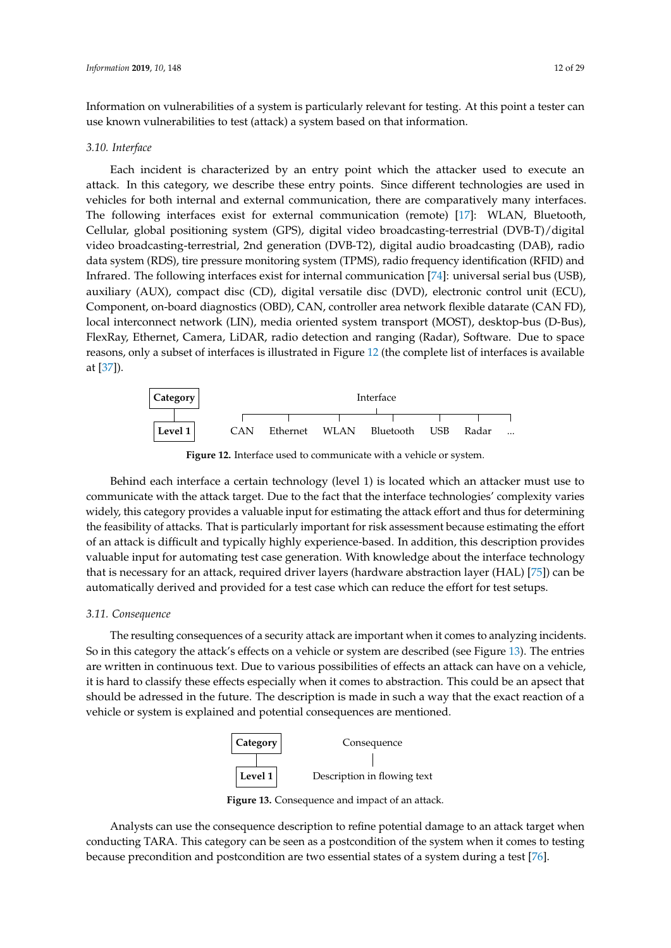Information on vulnerabilities of a system is particularly relevant for testing. At this point a tester can use known vulnerabilities to test (attack) a system based on that information.

#### *3.10. Interface*

Each incident is characterized by an entry point which the attacker used to execute an attack. In this category, we describe these entry points. Since different technologies are used in vehicles for both internal and external communication, there are comparatively many interfaces. The following interfaces exist for external communication (remote) [\[17\]](#page-25-3): WLAN, Bluetooth, Cellular, global positioning system (GPS), digital video broadcasting-terrestrial (DVB-T)/digital video broadcasting-terrestrial, 2nd generation (DVB-T2), digital audio broadcasting (DAB), radio data system (RDS), tire pressure monitoring system (TPMS), radio frequency identification (RFID) and Infrared. The following interfaces exist for internal communication [\[74\]](#page-27-21): universal serial bus (USB), auxiliary (AUX), compact disc (CD), digital versatile disc (DVD), electronic control unit (ECU), Component, on-board diagnostics (OBD), CAN, controller area network flexible datarate (CAN FD), local interconnect network (LIN), media oriented system transport (MOST), desktop-bus (D-Bus), FlexRay, Ethernet, Camera, LiDAR, radio detection and ranging (Radar), Software. Due to space reasons, only a subset of interfaces is illustrated in Figure [12](#page-11-0) (the complete list of interfaces is available at [\[37\]](#page-26-8)).

<span id="page-11-0"></span>

**Figure 12.** Interface used to communicate with a vehicle or system.

Behind each interface a certain technology (level 1) is located which an attacker must use to communicate with the attack target. Due to the fact that the interface technologies' complexity varies widely, this category provides a valuable input for estimating the attack effort and thus for determining the feasibility of attacks. That is particularly important for risk assessment because estimating the effort of an attack is difficult and typically highly experience-based. In addition, this description provides valuable input for automating test case generation. With knowledge about the interface technology that is necessary for an attack, required driver layers (hardware abstraction layer (HAL) [\[75\]](#page-27-22)) can be automatically derived and provided for a test case which can reduce the effort for test setups.

#### *3.11. Consequence*

<span id="page-11-1"></span>The resulting consequences of a security attack are important when it comes to analyzing incidents. So in this category the attack's effects on a vehicle or system are described (see Figure [13\)](#page-11-1). The entries are written in continuous text. Due to various possibilities of effects an attack can have on a vehicle, it is hard to classify these effects especially when it comes to abstraction. This could be an apsect that should be adressed in the future. The description is made in such a way that the exact reaction of a vehicle or system is explained and potential consequences are mentioned.



**Figure 13.** Consequence and impact of an attack.

Analysts can use the consequence description to refine potential damage to an attack target when conducting TARA. This category can be seen as a postcondition of the system when it comes to testing because precondition and postcondition are two essential states of a system during a test [\[76\]](#page-28-0).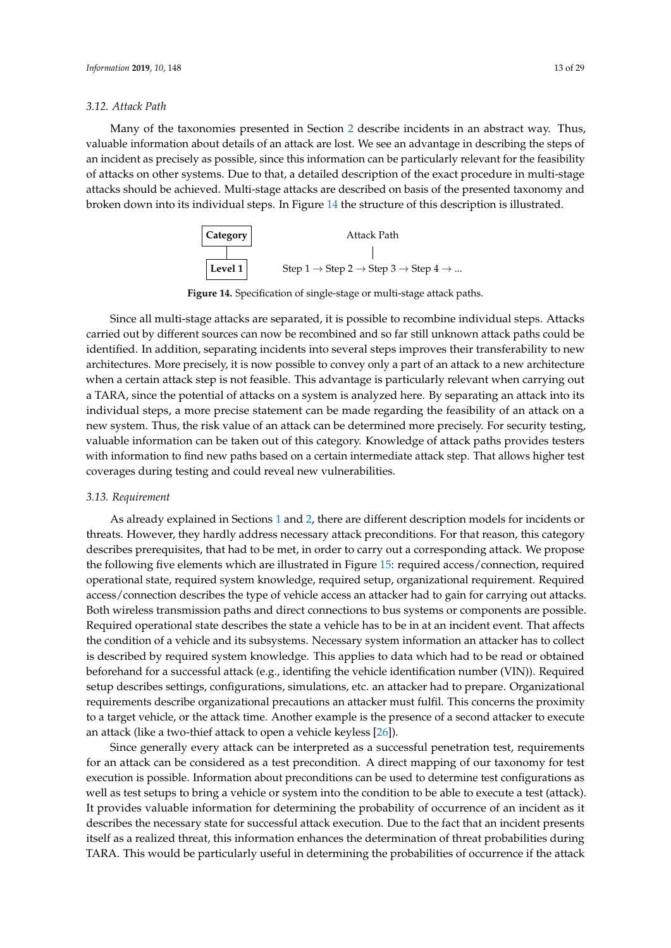#### *3.12. Attack Path*

Many of the taxonomies presented in Section [2](#page-2-0) describe incidents in an abstract way. Thus, valuable information about details of an attack are lost. We see an advantage in describing the steps of an incident as precisely as possible, since this information can be particularly relevant for the feasibility of attacks on other systems. Due to that, a detailed description of the exact procedure in multi-stage attacks should be achieved. Multi-stage attacks are described on basis of the presented taxonomy and broken down into its individual steps. In Figure [14](#page-12-0) the structure of this description is illustrated.



**Figure 14.** Specification of single-stage or multi-stage attack paths.

<span id="page-12-0"></span>Since all multi-stage attacks are separated, it is possible to recombine individual steps. Attacks carried out by different sources can now be recombined and so far still unknown attack paths could be identified. In addition, separating incidents into several steps improves their transferability to new architectures. More precisely, it is now possible to convey only a part of an attack to a new architecture when a certain attack step is not feasible. This advantage is particularly relevant when carrying out a TARA, since the potential of attacks on a system is analyzed here. By separating an attack into its individual steps, a more precise statement can be made regarding the feasibility of an attack on a new system. Thus, the risk value of an attack can be determined more precisely. For security testing, valuable information can be taken out of this category. Knowledge of attack paths provides testers with information to find new paths based on a certain intermediate attack step. That allows higher test coverages during testing and could reveal new vulnerabilities.

#### *3.13. Requirement*

As already explained in Sections [1](#page-0-0) and [2,](#page-2-0) there are different description models for incidents or threats. However, they hardly address necessary attack preconditions. For that reason, this category describes prerequisites, that had to be met, in order to carry out a corresponding attack. We propose the following five elements which are illustrated in Figure [15:](#page-13-0) required access/connection, required operational state, required system knowledge, required setup, organizational requirement. Required access/connection describes the type of vehicle access an attacker had to gain for carrying out attacks. Both wireless transmission paths and direct connections to bus systems or components are possible. Required operational state describes the state a vehicle has to be in at an incident event. That affects the condition of a vehicle and its subsystems. Necessary system information an attacker has to collect is described by required system knowledge. This applies to data which had to be read or obtained beforehand for a successful attack (e.g., identifing the vehicle identification number (VIN)). Required setup describes settings, configurations, simulations, etc. an attacker had to prepare. Organizational requirements describe organizational precautions an attacker must fulfil. This concerns the proximity to a target vehicle, or the attack time. Another example is the presence of a second attacker to execute an attack (like a two-thief attack to open a vehicle keyless [\[26\]](#page-26-17)).

Since generally every attack can be interpreted as a successful penetration test, requirements for an attack can be considered as a test precondition. A direct mapping of our taxonomy for test execution is possible. Information about preconditions can be used to determine test configurations as well as test setups to bring a vehicle or system into the condition to be able to execute a test (attack). It provides valuable information for determining the probability of occurrence of an incident as it describes the necessary state for successful attack execution. Due to the fact that an incident presents itself as a realized threat, this information enhances the determination of threat probabilities during TARA. This would be particularly useful in determining the probabilities of occurrence if the attack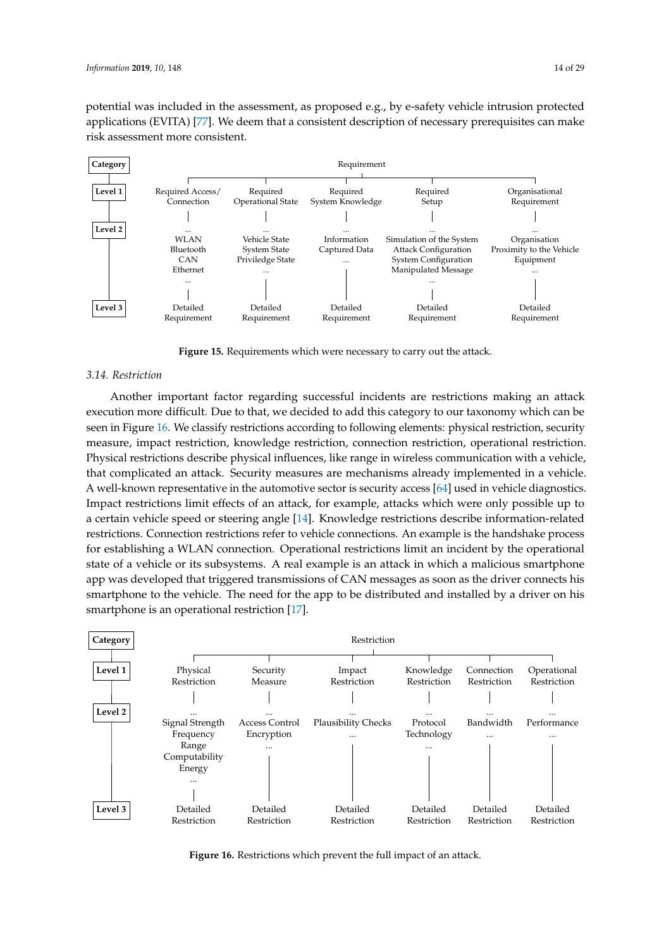potential was included in the assessment, as proposed e.g., by e-safety vehicle intrusion protected applications (EVITA) [\[77\]](#page-28-1). We deem that a consistent description of necessary prerequisites can make risk assessment more consistent.

<span id="page-13-0"></span>

**Figure 15.** Requirements which were necessary to carry out the attack.

#### *3.14. Restriction*

Another important factor regarding successful incidents are restrictions making an attack execution more difficult. Due to that, we decided to add this category to our taxonomy which can be seen in Figure [16.](#page-13-1) We classify restrictions according to following elements: physical restriction, security measure, impact restriction, knowledge restriction, connection restriction, operational restriction. Physical restrictions describe physical influences, like range in wireless communication with a vehicle, that complicated an attack. Security measures are mechanisms already implemented in a vehicle. A well-known representative in the automotive sector is security access [\[64\]](#page-27-11) used in vehicle diagnostics. Impact restrictions limit effects of an attack, for example, attacks which were only possible up to a certain vehicle speed or steering angle [\[14\]](#page-25-2). Knowledge restrictions describe information-related restrictions. Connection restrictions refer to vehicle connections. An example is the handshake process for establishing a WLAN connection. Operational restrictions limit an incident by the operational state of a vehicle or its subsystems. A real example is an attack in which a malicious smartphone app was developed that triggered transmissions of CAN messages as soon as the driver connects his smartphone to the vehicle. The need for the app to be distributed and installed by a driver on his smartphone is an operational restriction [\[17\]](#page-25-3).

<span id="page-13-1"></span>

**Figure 16.** Restrictions which prevent the full impact of an attack.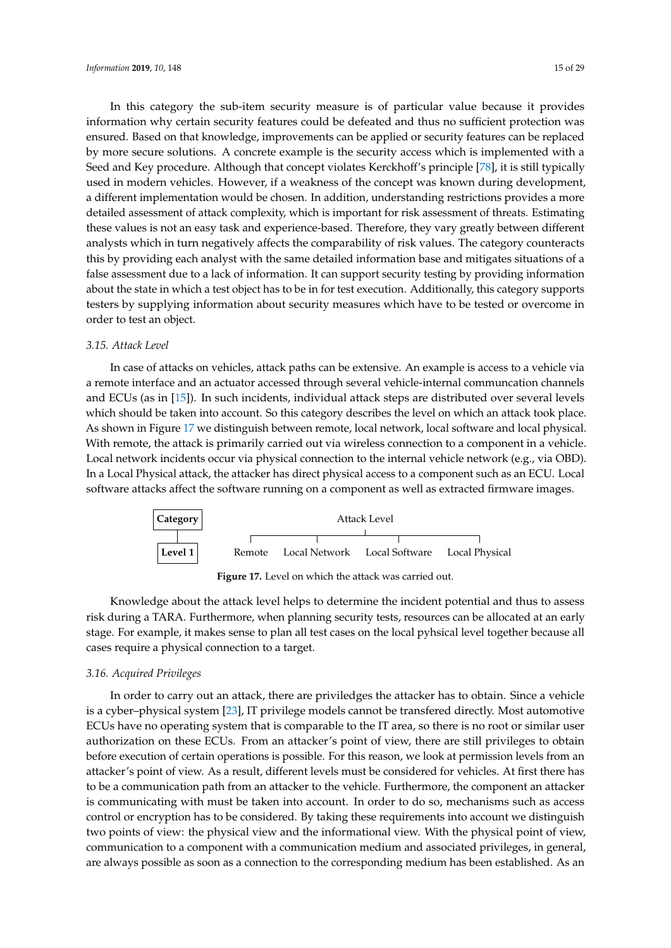In this category the sub-item security measure is of particular value because it provides information why certain security features could be defeated and thus no sufficient protection was ensured. Based on that knowledge, improvements can be applied or security features can be replaced by more secure solutions. A concrete example is the security access which is implemented with a Seed and Key procedure. Although that concept violates Kerckhoff's principle [\[78\]](#page-28-2), it is still typically used in modern vehicles. However, if a weakness of the concept was known during development, a different implementation would be chosen. In addition, understanding restrictions provides a more detailed assessment of attack complexity, which is important for risk assessment of threats. Estimating these values is not an easy task and experience-based. Therefore, they vary greatly between different analysts which in turn negatively affects the comparability of risk values. The category counteracts this by providing each analyst with the same detailed information base and mitigates situations of a false assessment due to a lack of information. It can support security testing by providing information about the state in which a test object has to be in for test execution. Additionally, this category supports testers by supplying information about security measures which have to be tested or overcome in order to test an object.

#### *3.15. Attack Level*

In case of attacks on vehicles, attack paths can be extensive. An example is access to a vehicle via a remote interface and an actuator accessed through several vehicle-internal communcation channels and ECUs (as in [\[15\]](#page-25-17)). In such incidents, individual attack steps are distributed over several levels which should be taken into account. So this category describes the level on which an attack took place. As shown in Figure [17](#page-14-0) we distinguish between remote, local network, local software and local physical. With remote, the attack is primarily carried out via wireless connection to a component in a vehicle. Local network incidents occur via physical connection to the internal vehicle network (e.g., via OBD). In a Local Physical attack, the attacker has direct physical access to a component such as an ECU. Local software attacks affect the software running on a component as well as extracted firmware images.

<span id="page-14-0"></span>

**Figure 17.** Level on which the attack was carried out.

Knowledge about the attack level helps to determine the incident potential and thus to assess risk during a TARA. Furthermore, when planning security tests, resources can be allocated at an early stage. For example, it makes sense to plan all test cases on the local pyhsical level together because all cases require a physical connection to a target.

#### *3.16. Acquired Privileges*

In order to carry out an attack, there are priviledges the attacker has to obtain. Since a vehicle is a cyber–physical system [\[23\]](#page-25-10), IT privilege models cannot be transfered directly. Most automotive ECUs have no operating system that is comparable to the IT area, so there is no root or similar user authorization on these ECUs. From an attacker's point of view, there are still privileges to obtain before execution of certain operations is possible. For this reason, we look at permission levels from an attacker's point of view. As a result, different levels must be considered for vehicles. At first there has to be a communication path from an attacker to the vehicle. Furthermore, the component an attacker is communicating with must be taken into account. In order to do so, mechanisms such as access control or encryption has to be considered. By taking these requirements into account we distinguish two points of view: the physical view and the informational view. With the physical point of view, communication to a component with a communication medium and associated privileges, in general, are always possible as soon as a connection to the corresponding medium has been established. As an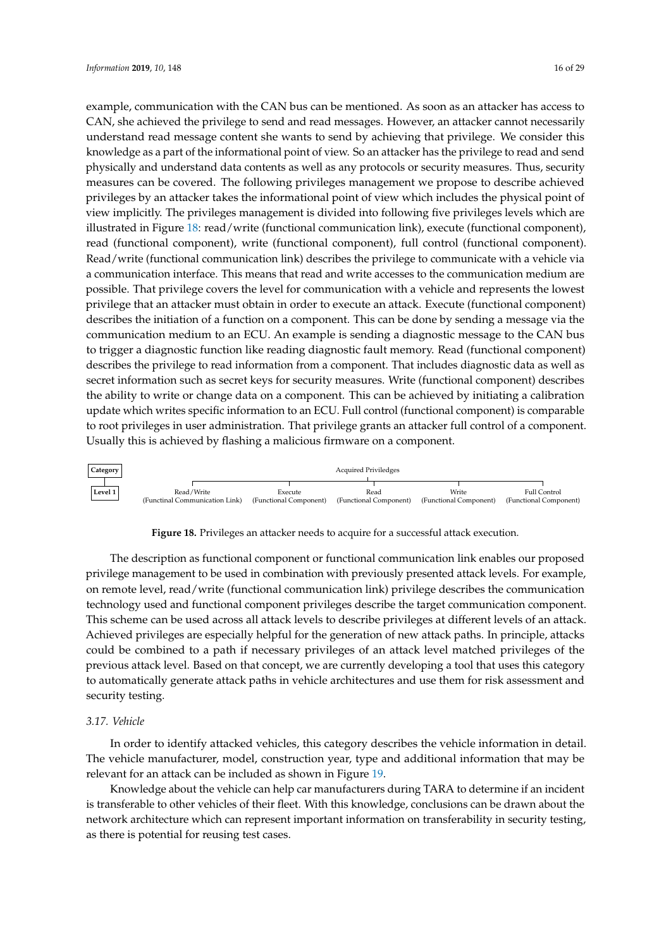example, communication with the CAN bus can be mentioned. As soon as an attacker has access to CAN, she achieved the privilege to send and read messages. However, an attacker cannot necessarily understand read message content she wants to send by achieving that privilege. We consider this knowledge as a part of the informational point of view. So an attacker has the privilege to read and send physically and understand data contents as well as any protocols or security measures. Thus, security measures can be covered. The following privileges management we propose to describe achieved privileges by an attacker takes the informational point of view which includes the physical point of view implicitly. The privileges management is divided into following five privileges levels which are illustrated in Figure [18:](#page-15-0) read/write (functional communication link), execute (functional component), read (functional component), write (functional component), full control (functional component). Read/write (functional communication link) describes the privilege to communicate with a vehicle via a communication interface. This means that read and write accesses to the communication medium are possible. That privilege covers the level for communication with a vehicle and represents the lowest privilege that an attacker must obtain in order to execute an attack. Execute (functional component) describes the initiation of a function on a component. This can be done by sending a message via the communication medium to an ECU. An example is sending a diagnostic message to the CAN bus to trigger a diagnostic function like reading diagnostic fault memory. Read (functional component) describes the privilege to read information from a component. That includes diagnostic data as well as secret information such as secret keys for security measures. Write (functional component) describes the ability to write or change data on a component. This can be achieved by initiating a calibration update which writes specific information to an ECU. Full control (functional component) is comparable to root privileges in user administration. That privilege grants an attacker full control of a component. Usually this is achieved by flashing a malicious firmware on a component.

<span id="page-15-0"></span>

**Figure 18.** Privileges an attacker needs to acquire for a successful attack execution.

The description as functional component or functional communication link enables our proposed privilege management to be used in combination with previously presented attack levels. For example, on remote level, read/write (functional communication link) privilege describes the communication technology used and functional component privileges describe the target communication component. This scheme can be used across all attack levels to describe privileges at different levels of an attack. Achieved privileges are especially helpful for the generation of new attack paths. In principle, attacks could be combined to a path if necessary privileges of an attack level matched privileges of the previous attack level. Based on that concept, we are currently developing a tool that uses this category to automatically generate attack paths in vehicle architectures and use them for risk assessment and security testing.

# *3.17. Vehicle*

In order to identify attacked vehicles, this category describes the vehicle information in detail. The vehicle manufacturer, model, construction year, type and additional information that may be relevant for an attack can be included as shown in Figure [19.](#page-16-0)

Knowledge about the vehicle can help car manufacturers during TARA to determine if an incident is transferable to other vehicles of their fleet. With this knowledge, conclusions can be drawn about the network architecture which can represent important information on transferability in security testing, as there is potential for reusing test cases.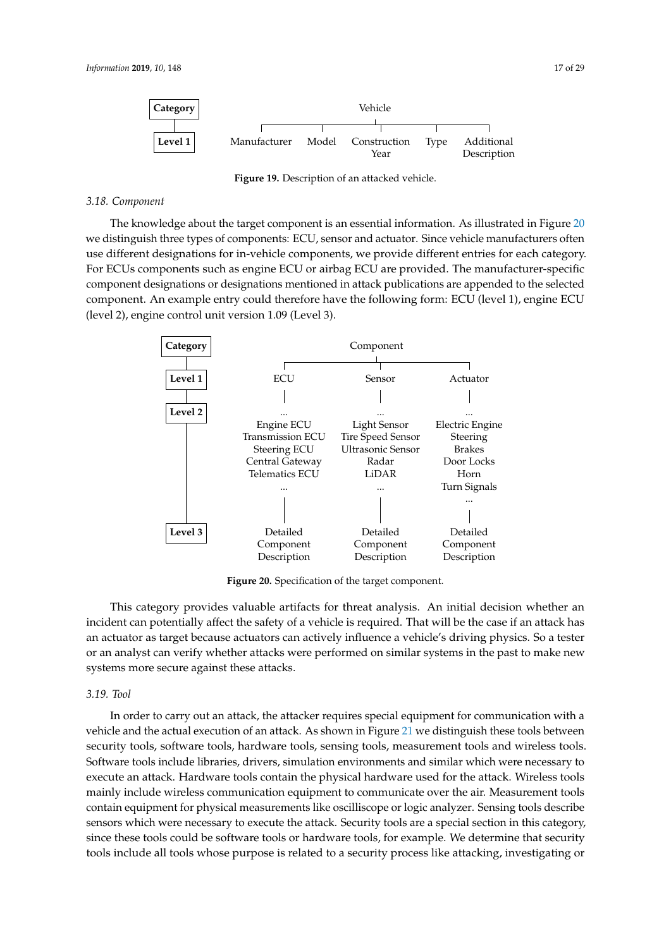<span id="page-16-0"></span>

**Figure 19.** Description of an attacked vehicle.

#### *3.18. Component*

The knowledge about the target component is an essential information. As illustrated in Figure [20](#page-16-1) we distinguish three types of components: ECU, sensor and actuator. Since vehicle manufacturers often use different designations for in-vehicle components, we provide different entries for each category. For ECUs components such as engine ECU or airbag ECU are provided. The manufacturer-specific component designations or designations mentioned in attack publications are appended to the selected component. An example entry could therefore have the following form: ECU (level 1), engine ECU (level 2), engine control unit version 1.09 (Level 3).

<span id="page-16-1"></span>

**Figure 20.** Specification of the target component.

This category provides valuable artifacts for threat analysis. An initial decision whether an incident can potentially affect the safety of a vehicle is required. That will be the case if an attack has an actuator as target because actuators can actively influence a vehicle's driving physics. So a tester or an analyst can verify whether attacks were performed on similar systems in the past to make new systems more secure against these attacks.

#### *3.19. Tool*

In order to carry out an attack, the attacker requires special equipment for communication with a vehicle and the actual execution of an attack. As shown in Figure [21](#page-17-0) we distinguish these tools between security tools, software tools, hardware tools, sensing tools, measurement tools and wireless tools. Software tools include libraries, drivers, simulation environments and similar which were necessary to execute an attack. Hardware tools contain the physical hardware used for the attack. Wireless tools mainly include wireless communication equipment to communicate over the air. Measurement tools contain equipment for physical measurements like oscilliscope or logic analyzer. Sensing tools describe sensors which were necessary to execute the attack. Security tools are a special section in this category, since these tools could be software tools or hardware tools, for example. We determine that security tools include all tools whose purpose is related to a security process like attacking, investigating or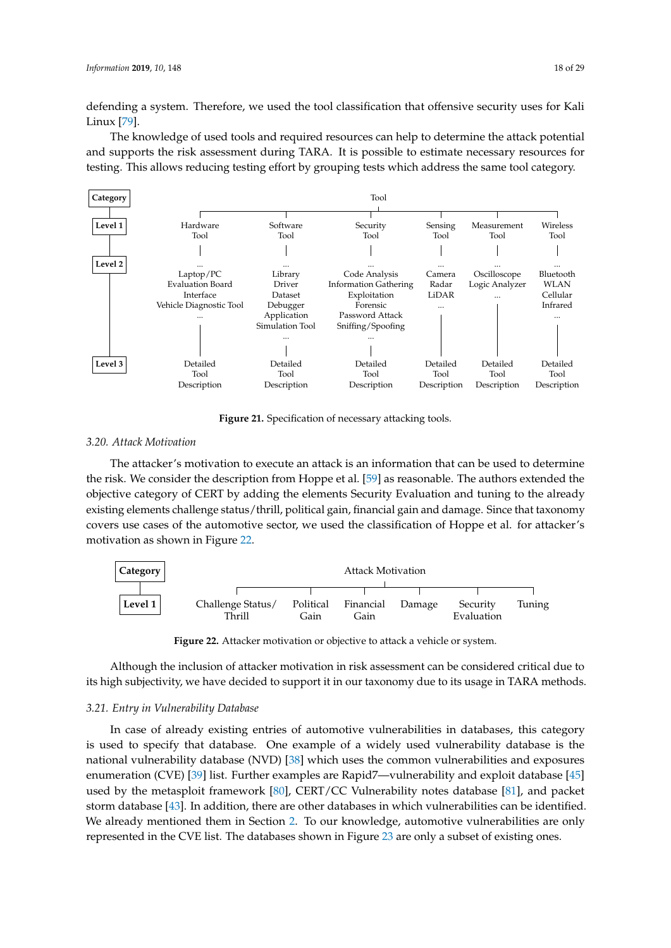defending a system. Therefore, we used the tool classification that offensive security uses for Kali Linux [\[79\]](#page-28-3).

The knowledge of used tools and required resources can help to determine the attack potential and supports the risk assessment during TARA. It is possible to estimate necessary resources for testing. This allows reducing testing effort by grouping tests which address the same tool category.

<span id="page-17-0"></span>

**Figure 21.** Specification of necessary attacking tools.

## *3.20. Attack Motivation*

The attacker's motivation to execute an attack is an information that can be used to determine the risk. We consider the description from Hoppe et al. [\[59\]](#page-27-6) as reasonable. The authors extended the objective category of CERT by adding the elements Security Evaluation and tuning to the already existing elements challenge status/thrill, political gain, financial gain and damage. Since that taxonomy covers use cases of the automotive sector, we used the classification of Hoppe et al. for attacker's motivation as shown in Figure [22.](#page-17-1)

<span id="page-17-1"></span>

**Figure 22.** Attacker motivation or objective to attack a vehicle or system.

Although the inclusion of attacker motivation in risk assessment can be considered critical due to its high subjectivity, we have decided to support it in our taxonomy due to its usage in TARA methods.

## *3.21. Entry in Vulnerability Database*

In case of already existing entries of automotive vulnerabilities in databases, this category is used to specify that database. One example of a widely used vulnerability database is the national vulnerability database (NVD) [\[38\]](#page-26-9) which uses the common vulnerabilities and exposures enumeration (CVE) [\[39\]](#page-26-10) list. Further examples are Rapid7—vulnerability and exploit database [\[45\]](#page-26-12) used by the metasploit framework [\[80\]](#page-28-4), CERT/CC Vulnerability notes database [\[81\]](#page-28-5), and packet storm database [\[43\]](#page-26-18). In addition, there are other databases in which vulnerabilities can be identified. We already mentioned them in Section [2.](#page-2-0) To our knowledge, automotive vulnerabilities are only represented in the CVE list. The databases shown in Figure [23](#page-18-0) are only a subset of existing ones.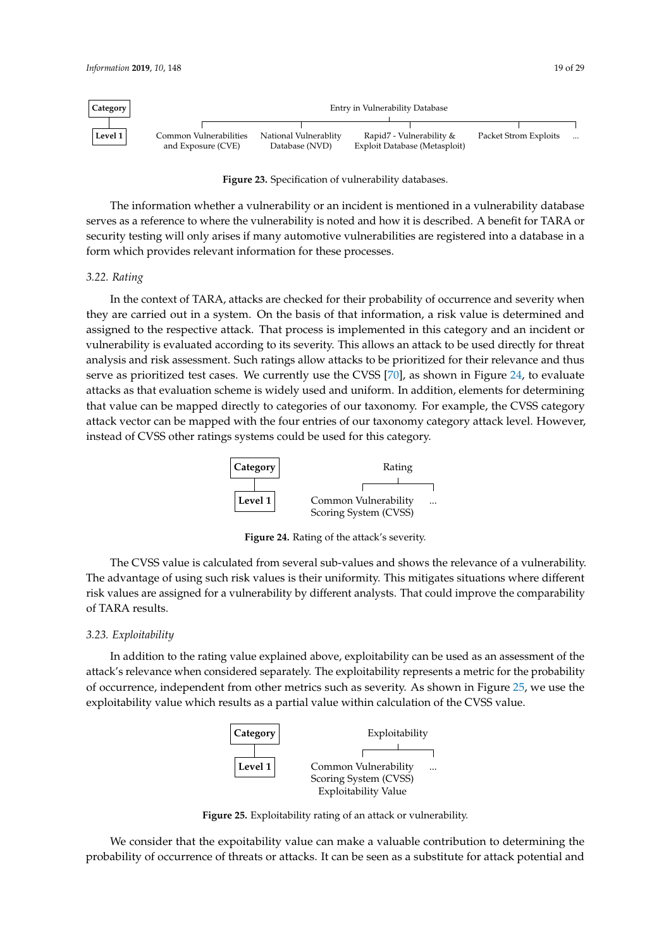<span id="page-18-0"></span>

| Category | Entry in Vulnerability Database |                       |                               |                       |          |  |  |
|----------|---------------------------------|-----------------------|-------------------------------|-----------------------|----------|--|--|
|          |                                 |                       |                               |                       |          |  |  |
| Level 1  | Common Vulnerabilities          | National Vulnerablity | Rapid7 - Vulnerability &      | Packet Strom Exploits | $\cdots$ |  |  |
|          | and Exposure (CVE)              | Database (NVD)        | Exploit Database (Metasploit) |                       |          |  |  |

**Figure 23.** Specification of vulnerability databases.

The information whether a vulnerability or an incident is mentioned in a vulnerability database serves as a reference to where the vulnerability is noted and how it is described. A benefit for TARA or security testing will only arises if many automotive vulnerabilities are registered into a database in a form which provides relevant information for these processes.

#### *3.22. Rating*

In the context of TARA, attacks are checked for their probability of occurrence and severity when they are carried out in a system. On the basis of that information, a risk value is determined and assigned to the respective attack. That process is implemented in this category and an incident or vulnerability is evaluated according to its severity. This allows an attack to be used directly for threat analysis and risk assessment. Such ratings allow attacks to be prioritized for their relevance and thus serve as prioritized test cases. We currently use the CVSS [\[70\]](#page-27-17), as shown in Figure [24,](#page-18-1) to evaluate attacks as that evaluation scheme is widely used and uniform. In addition, elements for determining that value can be mapped directly to categories of our taxonomy. For example, the CVSS category attack vector can be mapped with the four entries of our taxonomy category attack level. However, instead of CVSS other ratings systems could be used for this category.



**Figure 24.** Rating of the attack's severity.

<span id="page-18-1"></span>The CVSS value is calculated from several sub-values and shows the relevance of a vulnerability. The advantage of using such risk values is their uniformity. This mitigates situations where different risk values are assigned for a vulnerability by different analysts. That could improve the comparability of TARA results.

#### *3.23. Exploitability*

<span id="page-18-2"></span>In addition to the rating value explained above, exploitability can be used as an assessment of the attack's relevance when considered separately. The exploitability represents a metric for the probability of occurrence, independent from other metrics such as severity. As shown in Figure [25,](#page-18-2) we use the exploitability value which results as a partial value within calculation of the CVSS value.



**Figure 25.** Exploitability rating of an attack or vulnerability.

We consider that the expoitability value can make a valuable contribution to determining the probability of occurrence of threats or attacks. It can be seen as a substitute for attack potential and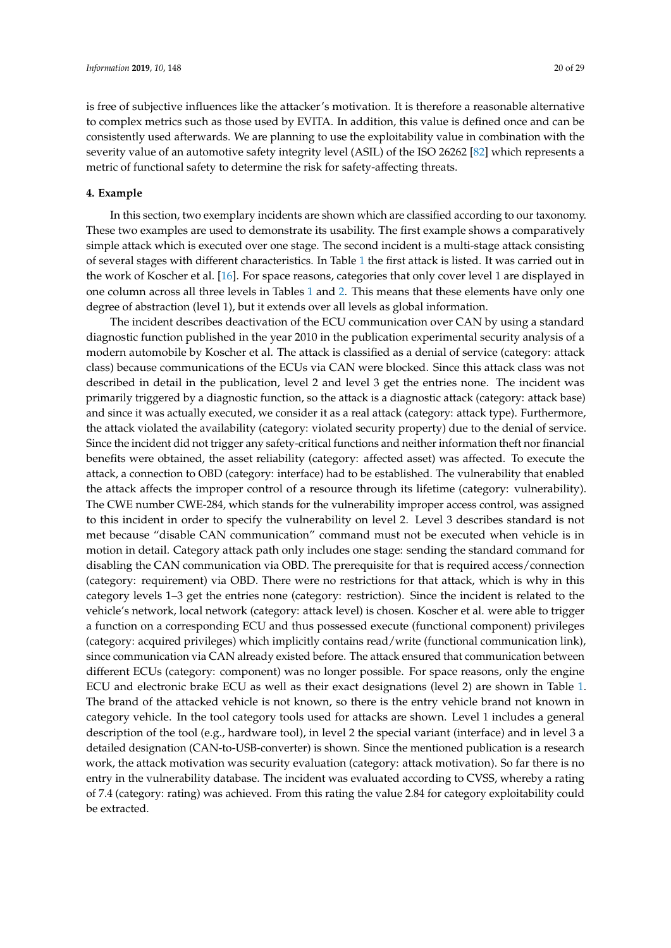is free of subjective influences like the attacker's motivation. It is therefore a reasonable alternative to complex metrics such as those used by EVITA. In addition, this value is defined once and can be consistently used afterwards. We are planning to use the exploitability value in combination with the severity value of an automotive safety integrity level (ASIL) of the ISO 26262 [\[82\]](#page-28-6) which represents a metric of functional safety to determine the risk for safety-affecting threats.

#### <span id="page-19-0"></span>**4. Example**

In this section, two exemplary incidents are shown which are classified according to our taxonomy. These two examples are used to demonstrate its usability. The first example shows a comparatively simple attack which is executed over one stage. The second incident is a multi-stage attack consisting of several stages with different characteristics. In Table [1](#page-20-0) the first attack is listed. It was carried out in the work of Koscher et al. [\[16\]](#page-25-16). For space reasons, categories that only cover level 1 are displayed in one column across all three levels in Tables [1](#page-20-0) and [2.](#page-21-0) This means that these elements have only one degree of abstraction (level 1), but it extends over all levels as global information.

The incident describes deactivation of the ECU communication over CAN by using a standard diagnostic function published in the year 2010 in the publication experimental security analysis of a modern automobile by Koscher et al. The attack is classified as a denial of service (category: attack class) because communications of the ECUs via CAN were blocked. Since this attack class was not described in detail in the publication, level 2 and level 3 get the entries none. The incident was primarily triggered by a diagnostic function, so the attack is a diagnostic attack (category: attack base) and since it was actually executed, we consider it as a real attack (category: attack type). Furthermore, the attack violated the availability (category: violated security property) due to the denial of service. Since the incident did not trigger any safety-critical functions and neither information theft nor financial benefits were obtained, the asset reliability (category: affected asset) was affected. To execute the attack, a connection to OBD (category: interface) had to be established. The vulnerability that enabled the attack affects the improper control of a resource through its lifetime (category: vulnerability). The CWE number CWE-284, which stands for the vulnerability improper access control, was assigned to this incident in order to specify the vulnerability on level 2. Level 3 describes standard is not met because "disable CAN communication" command must not be executed when vehicle is in motion in detail. Category attack path only includes one stage: sending the standard command for disabling the CAN communication via OBD. The prerequisite for that is required access/connection (category: requirement) via OBD. There were no restrictions for that attack, which is why in this category levels 1–3 get the entries none (category: restriction). Since the incident is related to the vehicle's network, local network (category: attack level) is chosen. Koscher et al. were able to trigger a function on a corresponding ECU and thus possessed execute (functional component) privileges (category: acquired privileges) which implicitly contains read/write (functional communication link), since communication via CAN already existed before. The attack ensured that communication between different ECUs (category: component) was no longer possible. For space reasons, only the engine ECU and electronic brake ECU as well as their exact designations (level 2) are shown in Table [1.](#page-20-0) The brand of the attacked vehicle is not known, so there is the entry vehicle brand not known in category vehicle. In the tool category tools used for attacks are shown. Level 1 includes a general description of the tool (e.g., hardware tool), in level 2 the special variant (interface) and in level 3 a detailed designation (CAN-to-USB-converter) is shown. Since the mentioned publication is a research work, the attack motivation was security evaluation (category: attack motivation). So far there is no entry in the vulnerability database. The incident was evaluated according to CVSS, whereby a rating of 7.4 (category: rating) was achieved. From this rating the value 2.84 for category exploitability could be extracted.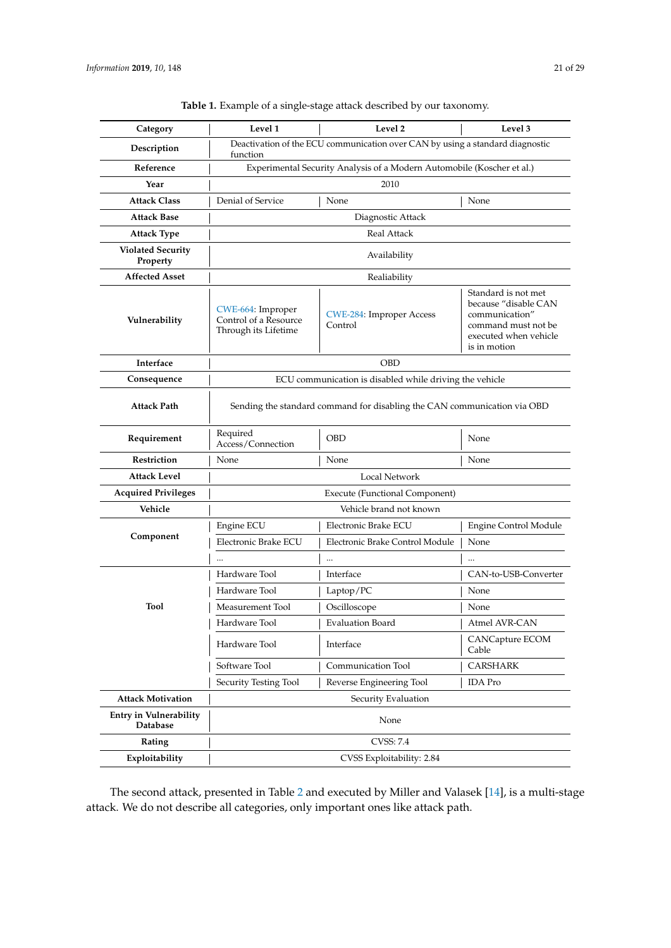<span id="page-20-0"></span>

| Category                             | Level 1                                                                                   | Level 2                                    | Level 3                                                                                                                       |  |  |
|--------------------------------------|-------------------------------------------------------------------------------------------|--------------------------------------------|-------------------------------------------------------------------------------------------------------------------------------|--|--|
| Description                          | Deactivation of the ECU communication over CAN by using a standard diagnostic<br>function |                                            |                                                                                                                               |  |  |
| Reference                            | Experimental Security Analysis of a Modern Automobile (Koscher et al.)                    |                                            |                                                                                                                               |  |  |
| Year                                 | 2010                                                                                      |                                            |                                                                                                                               |  |  |
| <b>Attack Class</b>                  | Denial of Service                                                                         | None                                       | None                                                                                                                          |  |  |
| <b>Attack Base</b>                   | Diagnostic Attack                                                                         |                                            |                                                                                                                               |  |  |
| <b>Attack Type</b>                   | <b>Real Attack</b>                                                                        |                                            |                                                                                                                               |  |  |
| <b>Violated Security</b><br>Property | Availability                                                                              |                                            |                                                                                                                               |  |  |
| <b>Affected Asset</b>                | Realiability                                                                              |                                            |                                                                                                                               |  |  |
| Vulnerability                        | CWE-664: Improper<br>Control of a Resource<br>Through its Lifetime                        | <b>CWE-284: Improper Access</b><br>Control | Standard is not met<br>because "disable CAN<br>communication"<br>command must not be<br>executed when vehicle<br>is in motion |  |  |
| Interface                            | <b>OBD</b>                                                                                |                                            |                                                                                                                               |  |  |
| Consequence                          | ECU communication is disabled while driving the vehicle                                   |                                            |                                                                                                                               |  |  |
| <b>Attack Path</b>                   | Sending the standard command for disabling the CAN communication via OBD                  |                                            |                                                                                                                               |  |  |
| Requirement                          | Required<br>Access/Connection                                                             | <b>OBD</b>                                 | None                                                                                                                          |  |  |
| Restriction                          | None                                                                                      | None                                       | None                                                                                                                          |  |  |
| <b>Attack Level</b>                  | Local Network                                                                             |                                            |                                                                                                                               |  |  |
| <b>Acquired Privileges</b>           | Execute (Functional Component)                                                            |                                            |                                                                                                                               |  |  |
| Vehicle                              | Vehicle brand not known                                                                   |                                            |                                                                                                                               |  |  |
|                                      | Engine ECU                                                                                | Electronic Brake ECU                       | Engine Control Module                                                                                                         |  |  |
| Component                            | Electronic Brake ECU                                                                      | Electronic Brake Control Module            | None                                                                                                                          |  |  |
|                                      |                                                                                           |                                            |                                                                                                                               |  |  |
|                                      | Hardware Tool                                                                             | Interface                                  | CAN-to-USB-Converter                                                                                                          |  |  |
|                                      | Hardware Tool                                                                             | Laptop/PC                                  | None                                                                                                                          |  |  |
| <b>Tool</b>                          | Measurement Tool                                                                          | Oscilloscope                               | None                                                                                                                          |  |  |
|                                      | Hardware Tool                                                                             | Evaluation Board                           | Atmel AVR-CAN                                                                                                                 |  |  |
|                                      | Hardware Tool                                                                             | Interface                                  | CANCapture ECOM<br>Cable                                                                                                      |  |  |
|                                      | Software Tool                                                                             | Communication Tool                         | <b>CARSHARK</b>                                                                                                               |  |  |
|                                      | Security Testing Tool                                                                     | Reverse Engineering Tool                   | <b>IDA</b> Pro                                                                                                                |  |  |
| <b>Attack Motivation</b>             | Security Evaluation                                                                       |                                            |                                                                                                                               |  |  |
| Entry in Vulnerability<br>Database   | None                                                                                      |                                            |                                                                                                                               |  |  |
| Rating                               | CVSS: 7.4                                                                                 |                                            |                                                                                                                               |  |  |
| Exploitability                       | CVSS Exploitability: 2.84                                                                 |                                            |                                                                                                                               |  |  |

**Table 1.** Example of a single-stage attack described by our taxonomy.

The second attack, presented in Table [2](#page-21-0) and executed by Miller and Valasek [\[14\]](#page-25-2), is a multi-stage attack. We do not describe all categories, only important ones like attack path.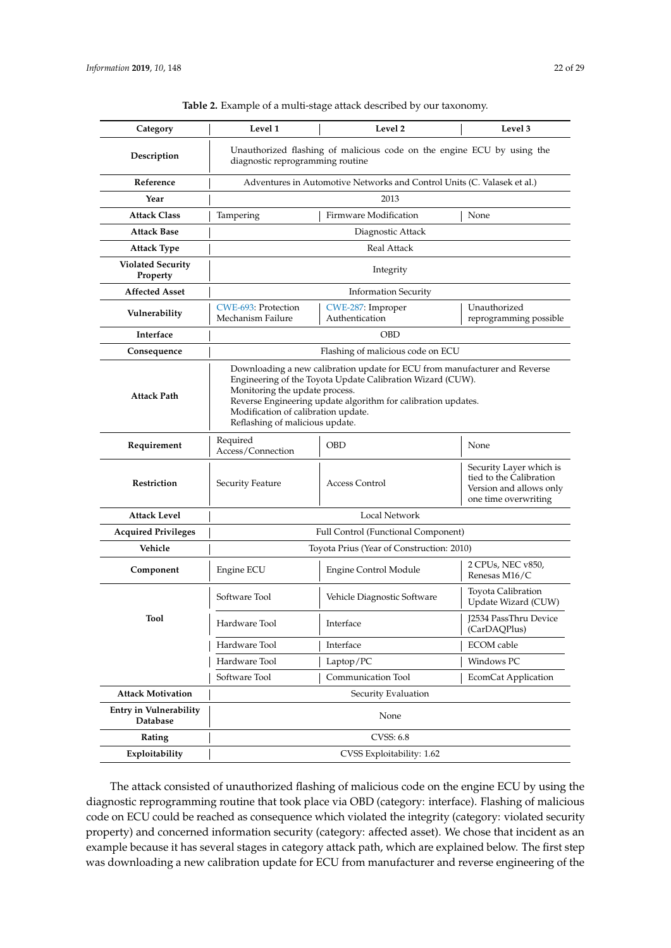<span id="page-21-0"></span>

| Category                                  | Level 1                                                                                                                                                                                                                                                                                                               | Level 2                             | Level 3                                                                                               |  |  |
|-------------------------------------------|-----------------------------------------------------------------------------------------------------------------------------------------------------------------------------------------------------------------------------------------------------------------------------------------------------------------------|-------------------------------------|-------------------------------------------------------------------------------------------------------|--|--|
| Description                               | Unauthorized flashing of malicious code on the engine ECU by using the<br>diagnostic reprogramming routine                                                                                                                                                                                                            |                                     |                                                                                                       |  |  |
| Reference                                 | Adventures in Automotive Networks and Control Units (C. Valasek et al.)                                                                                                                                                                                                                                               |                                     |                                                                                                       |  |  |
| Year                                      | 2013                                                                                                                                                                                                                                                                                                                  |                                     |                                                                                                       |  |  |
| <b>Attack Class</b>                       | Tampering                                                                                                                                                                                                                                                                                                             | Firmware Modification               | None                                                                                                  |  |  |
| <b>Attack Base</b>                        | Diagnostic Attack                                                                                                                                                                                                                                                                                                     |                                     |                                                                                                       |  |  |
| <b>Attack Type</b>                        | Real Attack                                                                                                                                                                                                                                                                                                           |                                     |                                                                                                       |  |  |
| <b>Violated Security</b><br>Property      | Integrity                                                                                                                                                                                                                                                                                                             |                                     |                                                                                                       |  |  |
| <b>Affected Asset</b>                     | <b>Information Security</b>                                                                                                                                                                                                                                                                                           |                                     |                                                                                                       |  |  |
| Vulnerability                             | CWE-693: Protection<br>Mechanism Failure                                                                                                                                                                                                                                                                              | CWE-287: Improper<br>Authentication | Unauthorized<br>reprogramming possible                                                                |  |  |
| Interface                                 | <b>OBD</b>                                                                                                                                                                                                                                                                                                            |                                     |                                                                                                       |  |  |
| Consequence                               |                                                                                                                                                                                                                                                                                                                       | Flashing of malicious code on ECU   |                                                                                                       |  |  |
| <b>Attack Path</b>                        | Downloading a new calibration update for ECU from manufacturer and Reverse<br>Engineering of the Toyota Update Calibration Wizard (CUW).<br>Monitoring the update process.<br>Reverse Engineering update algorithm for calibration updates.<br>Modification of calibration update.<br>Reflashing of malicious update. |                                     |                                                                                                       |  |  |
| Requirement                               | Required<br>Access/Connection                                                                                                                                                                                                                                                                                         | <b>OBD</b>                          | None                                                                                                  |  |  |
| Restriction                               | Security Feature                                                                                                                                                                                                                                                                                                      | <b>Access Control</b>               | Security Layer which is<br>tied to the Calibration<br>Version and allows only<br>one time overwriting |  |  |
| Attack Level                              | Local Network                                                                                                                                                                                                                                                                                                         |                                     |                                                                                                       |  |  |
| <b>Acquired Privileges</b>                | Full Control (Functional Component)                                                                                                                                                                                                                                                                                   |                                     |                                                                                                       |  |  |
| Vehicle                                   | Toyota Prius (Year of Construction: 2010)                                                                                                                                                                                                                                                                             |                                     |                                                                                                       |  |  |
| Component                                 | Engine ECU                                                                                                                                                                                                                                                                                                            | <b>Engine Control Module</b>        | 2 CPUs, NEC v850,<br>Renesas M16/C                                                                    |  |  |
|                                           | Software Tool                                                                                                                                                                                                                                                                                                         | Vehicle Diagnostic Software         | Toyota Calibration<br>Update Wizard (CUW)                                                             |  |  |
| Tool                                      | Hardware Tool                                                                                                                                                                                                                                                                                                         | Interface                           | J2534 PassThru Device<br>(CarDAQPlus)                                                                 |  |  |
|                                           | Hardware Tool                                                                                                                                                                                                                                                                                                         | Interface                           | <b>ECOM</b> cable                                                                                     |  |  |
|                                           | Hardware Tool                                                                                                                                                                                                                                                                                                         | Laptop/PC                           | Windows PC                                                                                            |  |  |
|                                           | Software Tool                                                                                                                                                                                                                                                                                                         | Communication Tool                  | EcomCat Application                                                                                   |  |  |
| <b>Attack Motivation</b>                  | Security Evaluation                                                                                                                                                                                                                                                                                                   |                                     |                                                                                                       |  |  |
| <b>Entry in Vulnerability</b><br>Database | None                                                                                                                                                                                                                                                                                                                  |                                     |                                                                                                       |  |  |
| Rating                                    | <b>CVSS: 6.8</b>                                                                                                                                                                                                                                                                                                      |                                     |                                                                                                       |  |  |
| Exploitability                            | CVSS Exploitability: 1.62                                                                                                                                                                                                                                                                                             |                                     |                                                                                                       |  |  |

# **Table 2.** Example of a multi-stage attack described by our taxonomy.

The attack consisted of unauthorized flashing of malicious code on the engine ECU by using the diagnostic reprogramming routine that took place via OBD (category: interface). Flashing of malicious code on ECU could be reached as consequence which violated the integrity (category: violated security property) and concerned information security (category: affected asset). We chose that incident as an example because it has several stages in category attack path, which are explained below. The first step was downloading a new calibration update for ECU from manufacturer and reverse engineering of the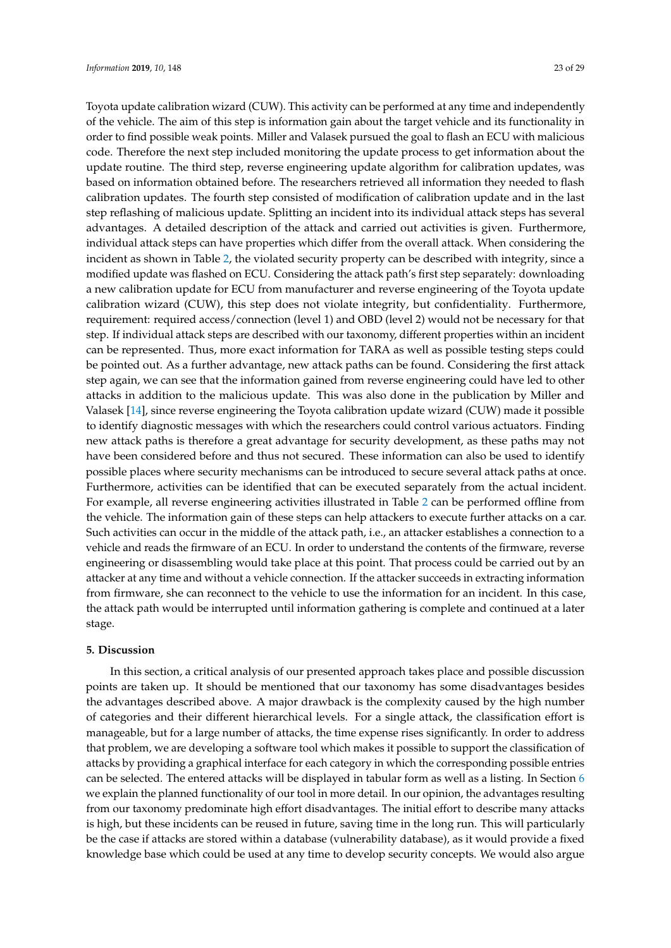Toyota update calibration wizard (CUW). This activity can be performed at any time and independently of the vehicle. The aim of this step is information gain about the target vehicle and its functionality in order to find possible weak points. Miller and Valasek pursued the goal to flash an ECU with malicious code. Therefore the next step included monitoring the update process to get information about the update routine. The third step, reverse engineering update algorithm for calibration updates, was based on information obtained before. The researchers retrieved all information they needed to flash calibration updates. The fourth step consisted of modification of calibration update and in the last step reflashing of malicious update. Splitting an incident into its individual attack steps has several advantages. A detailed description of the attack and carried out activities is given. Furthermore, individual attack steps can have properties which differ from the overall attack. When considering the incident as shown in Table [2,](#page-21-0) the violated security property can be described with integrity, since a modified update was flashed on ECU. Considering the attack path's first step separately: downloading a new calibration update for ECU from manufacturer and reverse engineering of the Toyota update calibration wizard (CUW), this step does not violate integrity, but confidentiality. Furthermore, requirement: required access/connection (level 1) and OBD (level 2) would not be necessary for that step. If individual attack steps are described with our taxonomy, different properties within an incident can be represented. Thus, more exact information for TARA as well as possible testing steps could be pointed out. As a further advantage, new attack paths can be found. Considering the first attack step again, we can see that the information gained from reverse engineering could have led to other attacks in addition to the malicious update. This was also done in the publication by Miller and Valasek [\[14\]](#page-25-2), since reverse engineering the Toyota calibration update wizard (CUW) made it possible to identify diagnostic messages with which the researchers could control various actuators. Finding new attack paths is therefore a great advantage for security development, as these paths may not have been considered before and thus not secured. These information can also be used to identify possible places where security mechanisms can be introduced to secure several attack paths at once. Furthermore, activities can be identified that can be executed separately from the actual incident. For example, all reverse engineering activities illustrated in Table [2](#page-21-0) can be performed offline from the vehicle. The information gain of these steps can help attackers to execute further attacks on a car. Such activities can occur in the middle of the attack path, i.e., an attacker establishes a connection to a vehicle and reads the firmware of an ECU. In order to understand the contents of the firmware, reverse engineering or disassembling would take place at this point. That process could be carried out by an attacker at any time and without a vehicle connection. If the attacker succeeds in extracting information from firmware, she can reconnect to the vehicle to use the information for an incident. In this case, the attack path would be interrupted until information gathering is complete and continued at a later stage.

#### <span id="page-22-0"></span>**5. Discussion**

In this section, a critical analysis of our presented approach takes place and possible discussion points are taken up. It should be mentioned that our taxonomy has some disadvantages besides the advantages described above. A major drawback is the complexity caused by the high number of categories and their different hierarchical levels. For a single attack, the classification effort is manageable, but for a large number of attacks, the time expense rises significantly. In order to address that problem, we are developing a software tool which makes it possible to support the classification of attacks by providing a graphical interface for each category in which the corresponding possible entries can be selected. The entered attacks will be displayed in tabular form as well as a listing. In Section [6](#page-24-3) we explain the planned functionality of our tool in more detail. In our opinion, the advantages resulting from our taxonomy predominate high effort disadvantages. The initial effort to describe many attacks is high, but these incidents can be reused in future, saving time in the long run. This will particularly be the case if attacks are stored within a database (vulnerability database), as it would provide a fixed knowledge base which could be used at any time to develop security concepts. We would also argue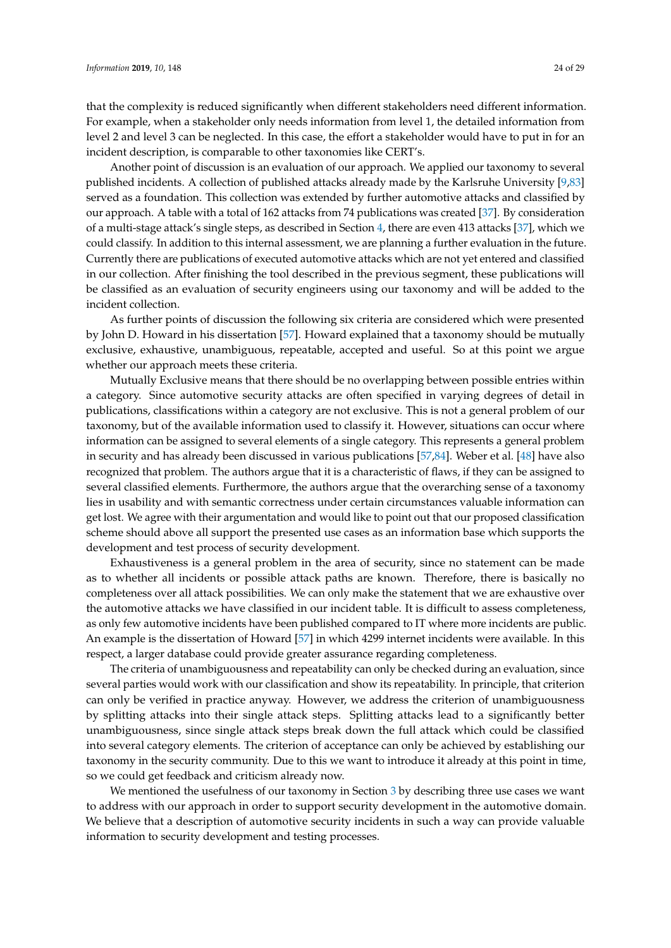that the complexity is reduced significantly when different stakeholders need different information. For example, when a stakeholder only needs information from level 1, the detailed information from level 2 and level 3 can be neglected. In this case, the effort a stakeholder would have to put in for an incident description, is comparable to other taxonomies like CERT's.

Another point of discussion is an evaluation of our approach. We applied our taxonomy to several published incidents. A collection of published attacks already made by the Karlsruhe University [\[9,](#page-25-9)[83\]](#page-28-7) served as a foundation. This collection was extended by further automotive attacks and classified by our approach. A table with a total of 162 attacks from 74 publications was created [\[37\]](#page-26-8). By consideration of a multi-stage attack's single steps, as described in Section [4,](#page-19-0) there are even 413 attacks [\[37\]](#page-26-8), which we could classify. In addition to this internal assessment, we are planning a further evaluation in the future. Currently there are publications of executed automotive attacks which are not yet entered and classified in our collection. After finishing the tool described in the previous segment, these publications will be classified as an evaluation of security engineers using our taxonomy and will be added to the incident collection.

As further points of discussion the following six criteria are considered which were presented by John D. Howard in his dissertation [\[57\]](#page-27-4). Howard explained that a taxonomy should be mutually exclusive, exhaustive, unambiguous, repeatable, accepted and useful. So at this point we argue whether our approach meets these criteria.

Mutually Exclusive means that there should be no overlapping between possible entries within a category. Since automotive security attacks are often specified in varying degrees of detail in publications, classifications within a category are not exclusive. This is not a general problem of our taxonomy, but of the available information used to classify it. However, situations can occur where information can be assigned to several elements of a single category. This represents a general problem in security and has already been discussed in various publications [\[57,](#page-27-4)[84\]](#page-28-8). Weber et al. [\[48\]](#page-26-15) have also recognized that problem. The authors argue that it is a characteristic of flaws, if they can be assigned to several classified elements. Furthermore, the authors argue that the overarching sense of a taxonomy lies in usability and with semantic correctness under certain circumstances valuable information can get lost. We agree with their argumentation and would like to point out that our proposed classification scheme should above all support the presented use cases as an information base which supports the development and test process of security development.

Exhaustiveness is a general problem in the area of security, since no statement can be made as to whether all incidents or possible attack paths are known. Therefore, there is basically no completeness over all attack possibilities. We can only make the statement that we are exhaustive over the automotive attacks we have classified in our incident table. It is difficult to assess completeness, as only few automotive incidents have been published compared to IT where more incidents are public. An example is the dissertation of Howard [\[57\]](#page-27-4) in which 4299 internet incidents were available. In this respect, a larger database could provide greater assurance regarding completeness.

The criteria of unambiguousness and repeatability can only be checked during an evaluation, since several parties would work with our classification and show its repeatability. In principle, that criterion can only be verified in practice anyway. However, we address the criterion of unambiguousness by splitting attacks into their single attack steps. Splitting attacks lead to a significantly better unambiguousness, since single attack steps break down the full attack which could be classified into several category elements. The criterion of acceptance can only be achieved by establishing our taxonomy in the security community. Due to this we want to introduce it already at this point in time, so we could get feedback and criticism already now.

We mentioned the usefulness of our taxonomy in Section [3](#page-4-0) by describing three use cases we want to address with our approach in order to support security development in the automotive domain. We believe that a description of automotive security incidents in such a way can provide valuable information to security development and testing processes.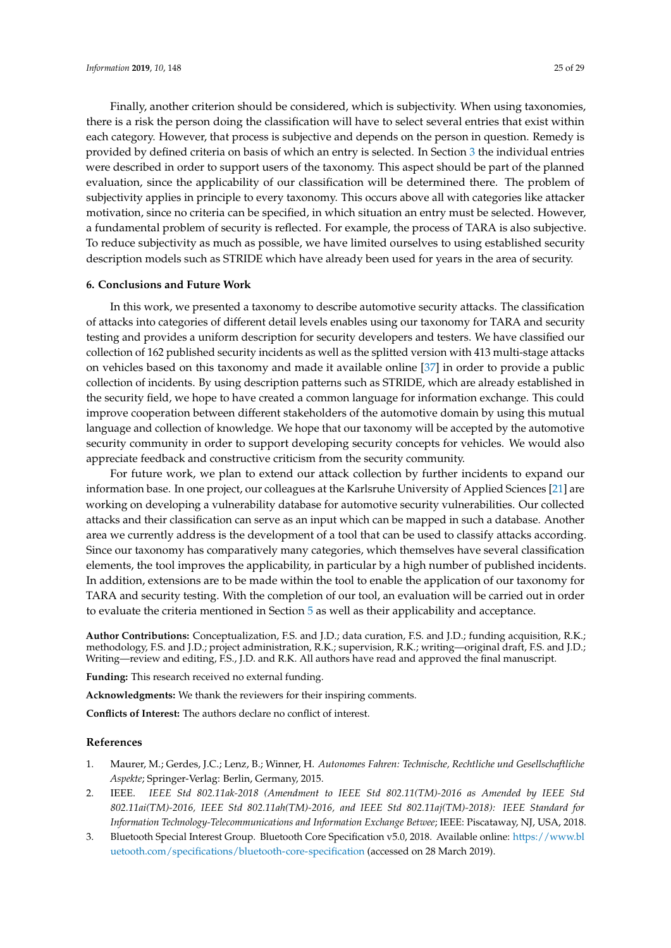Finally, another criterion should be considered, which is subjectivity. When using taxonomies, there is a risk the person doing the classification will have to select several entries that exist within each category. However, that process is subjective and depends on the person in question. Remedy is provided by defined criteria on basis of which an entry is selected. In Section [3](#page-4-0) the individual entries were described in order to support users of the taxonomy. This aspect should be part of the planned evaluation, since the applicability of our classification will be determined there. The problem of subjectivity applies in principle to every taxonomy. This occurs above all with categories like attacker motivation, since no criteria can be specified, in which situation an entry must be selected. However, a fundamental problem of security is reflected. For example, the process of TARA is also subjective. To reduce subjectivity as much as possible, we have limited ourselves to using established security description models such as STRIDE which have already been used for years in the area of security.

# <span id="page-24-3"></span>**6. Conclusions and Future Work**

In this work, we presented a taxonomy to describe automotive security attacks. The classification of attacks into categories of different detail levels enables using our taxonomy for TARA and security testing and provides a uniform description for security developers and testers. We have classified our collection of 162 published security incidents as well as the splitted version with 413 multi-stage attacks on vehicles based on this taxonomy and made it available online [\[37\]](#page-26-8) in order to provide a public collection of incidents. By using description patterns such as STRIDE, which are already established in the security field, we hope to have created a common language for information exchange. This could improve cooperation between different stakeholders of the automotive domain by using this mutual language and collection of knowledge. We hope that our taxonomy will be accepted by the automotive security community in order to support developing security concepts for vehicles. We would also appreciate feedback and constructive criticism from the security community.

For future work, we plan to extend our attack collection by further incidents to expand our information base. In one project, our colleagues at the Karlsruhe University of Applied Sciences [\[21\]](#page-25-7) are working on developing a vulnerability database for automotive security vulnerabilities. Our collected attacks and their classification can serve as an input which can be mapped in such a database. Another area we currently address is the development of a tool that can be used to classify attacks according. Since our taxonomy has comparatively many categories, which themselves have several classification elements, the tool improves the applicability, in particular by a high number of published incidents. In addition, extensions are to be made within the tool to enable the application of our taxonomy for TARA and security testing. With the completion of our tool, an evaluation will be carried out in order to evaluate the criteria mentioned in Section [5](#page-22-0) as well as their applicability and acceptance.

**Author Contributions:** Conceptualization, F.S. and J.D.; data curation, F.S. and J.D.; funding acquisition, R.K.; methodology, F.S. and J.D.; project administration, R.K.; supervision, R.K.; writing—original draft, F.S. and J.D.; Writing—review and editing, F.S., J.D. and R.K. All authors have read and approved the final manuscript.

**Funding:** This research received no external funding.

**Acknowledgments:** We thank the reviewers for their inspiring comments.

**Conflicts of Interest:** The authors declare no conflict of interest.

#### **References**

- <span id="page-24-0"></span>1. Maurer, M.; Gerdes, J.C.; Lenz, B.; Winner, H. *Autonomes Fahren: Technische, Rechtliche und Gesellschaftliche Aspekte*; Springer-Verlag: Berlin, Germany, 2015.
- <span id="page-24-1"></span>2. IEEE. *IEEE Std 802.11ak-2018 (Amendment to IEEE Std 802.11(TM)-2016 as Amended by IEEE Std 802.11ai(TM)-2016, IEEE Std 802.11ah(TM)-2016, and IEEE Std 802.11aj(TM)-2018): IEEE Standard for Information Technology-Telecommunications and Information Exchange Betwee*; IEEE: Piscataway, NJ, USA, 2018.
- <span id="page-24-2"></span>3. Bluetooth Special Interest Group. Bluetooth Core Specification v5.0, 2018. Available online: [https://www.bl](https://www.bluetooth.com/specifications/bluetooth-core-specification) [uetooth.com/specifications/bluetooth-core-specification](https://www.bluetooth.com/specifications/bluetooth-core-specification) (accessed on 28 March 2019).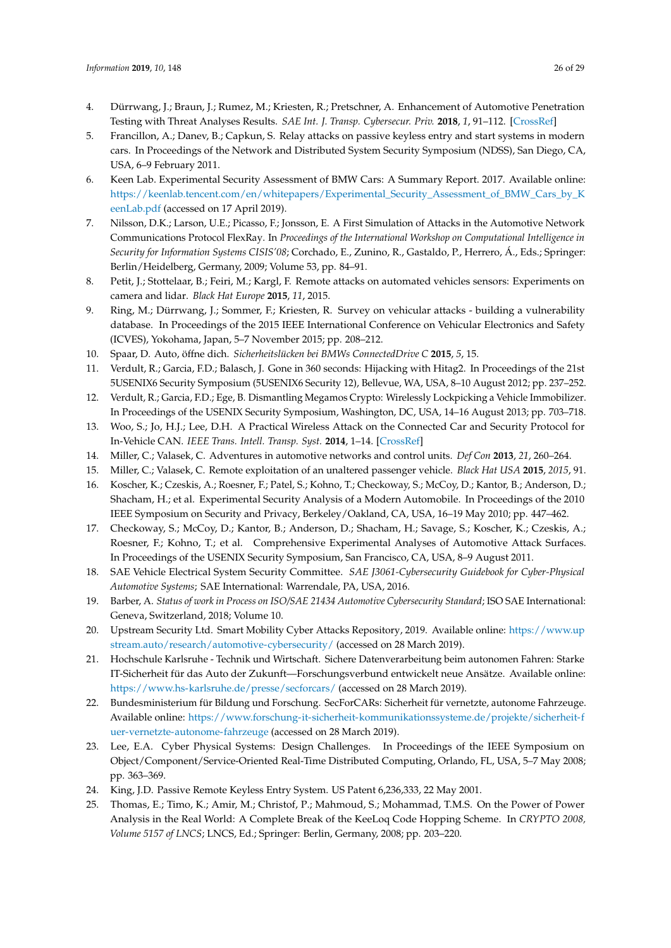- <span id="page-25-0"></span>4. Dürrwang, J.; Braun, J.; Rumez, M.; Kriesten, R.; Pretschner, A. Enhancement of Automotive Penetration Testing with Threat Analyses Results. *SAE Int. J. Transp. Cybersecur. Priv.* **2018**, *1*, 91–112. [\[CrossRef\]](http://dx.doi.org/10.4271/11-01-02-0005)
- <span id="page-25-12"></span>5. Francillon, A.; Danev, B.; Capkun, S. Relay attacks on passive keyless entry and start systems in modern cars. In Proceedings of the Network and Distributed System Security Symposium (NDSS), San Diego, CA, USA, 6–9 February 2011.
- <span id="page-25-19"></span>6. Keen Lab. Experimental Security Assessment of BMW Cars: A Summary Report. 2017. Available online: [https://keenlab.tencent.com/en/whitepapers/Experimental\\_Security\\_Assessment\\_of\\_BMW\\_Cars\\_by\\_K](https://keenlab.tencent.com/en/whitepapers/Experimental_Security_Assessment_of_BMW_Cars_by_KeenLab.pdf) [eenLab.pdf](https://keenlab.tencent.com/en/whitepapers/Experimental_Security_Assessment_of_BMW_Cars_by_KeenLab.pdf) (accessed on 17 April 2019).
- 7. Nilsson, D.K.; Larson, U.E.; Picasso, F.; Jonsson, E. A First Simulation of Attacks in the Automotive Network Communications Protocol FlexRay. In *Proceedings of the International Workshop on Computational Intelligence in Security for Information Systems CISIS'08*; Corchado, E., Zunino, R., Gastaldo, P., Herrero, Á., Eds.; Springer: Berlin/Heidelberg, Germany, 2009; Volume 53, pp. 84–91.
- <span id="page-25-18"></span>8. Petit, J.; Stottelaar, B.; Feiri, M.; Kargl, F. Remote attacks on automated vehicles sensors: Experiments on camera and lidar. *Black Hat Europe* **2015**, *11*, 2015.
- <span id="page-25-9"></span>9. Ring, M.; Dürrwang, J.; Sommer, F.; Kriesten, R. Survey on vehicular attacks - building a vulnerability database. In Proceedings of the 2015 IEEE International Conference on Vehicular Electronics and Safety (ICVES), Yokohama, Japan, 5–7 November 2015; pp. 208–212.
- <span id="page-25-13"></span>10. Spaar, D. Auto, öffne dich. *Sicherheitslücken bei BMWs ConnectedDrive C* **2015**, *5*, 15.
- 11. Verdult, R.; Garcia, F.D.; Balasch, J. Gone in 360 seconds: Hijacking with Hitag2. In Proceedings of the 21st 5USENIX6 Security Symposium (5USENIX6 Security 12), Bellevue, WA, USA, 8–10 August 2012; pp. 237–252.
- <span id="page-25-14"></span>12. Verdult, R.; Garcia, F.D.; Ege, B. Dismantling Megamos Crypto: Wirelessly Lockpicking a Vehicle Immobilizer. In Proceedings of the USENIX Security Symposium, Washington, DC, USA, 14–16 August 2013; pp. 703–718.
- <span id="page-25-1"></span>13. Woo, S.; Jo, H.J.; Lee, D.H. A Practical Wireless Attack on the Connected Car and Security Protocol for In-Vehicle CAN. *IEEE Trans. Intell. Transp. Syst.* **2014**, 1–14. [\[CrossRef\]](http://dx.doi.org/10.1109/TITS.2014.2351612)
- <span id="page-25-2"></span>14. Miller, C.; Valasek, C. Adventures in automotive networks and control units. *Def Con* **2013**, *21*, 260–264.
- <span id="page-25-17"></span>15. Miller, C.; Valasek, C. Remote exploitation of an unaltered passenger vehicle. *Black Hat USA* **2015**, *2015*, 91.
- <span id="page-25-16"></span>16. Koscher, K.; Czeskis, A.; Roesner, F.; Patel, S.; Kohno, T.; Checkoway, S.; McCoy, D.; Kantor, B.; Anderson, D.; Shacham, H.; et al. Experimental Security Analysis of a Modern Automobile. In Proceedings of the 2010 IEEE Symposium on Security and Privacy, Berkeley/Oakland, CA, USA, 16–19 May 2010; pp. 447–462.
- <span id="page-25-3"></span>17. Checkoway, S.; McCoy, D.; Kantor, B.; Anderson, D.; Shacham, H.; Savage, S.; Koscher, K.; Czeskis, A.; Roesner, F.; Kohno, T.; et al. Comprehensive Experimental Analyses of Automotive Attack Surfaces. In Proceedings of the USENIX Security Symposium, San Francisco, CA, USA, 8–9 August 2011.
- <span id="page-25-4"></span>18. SAE Vehicle Electrical System Security Committee. *SAE J3061-Cybersecurity Guidebook for Cyber-Physical Automotive Systems*; SAE International: Warrendale, PA, USA, 2016.
- <span id="page-25-5"></span>19. Barber, A. *Status of work in Process on ISO/SAE 21434 Automotive Cybersecurity Standard*; ISO SAE International: Geneva, Switzerland, 2018; Volume 10.
- <span id="page-25-6"></span>20. Upstream Security Ltd. Smart Mobility Cyber Attacks Repository, 2019. Available online: [https://www.up](https://www.upstream.auto/research/automotive-cybersecurity/) [stream.auto/research/automotive-cybersecurity/](https://www.upstream.auto/research/automotive-cybersecurity/) (accessed on 28 March 2019).
- <span id="page-25-7"></span>21. Hochschule Karlsruhe - Technik und Wirtschaft. Sichere Datenverarbeitung beim autonomen Fahren: Starke IT-Sicherheit für das Auto der Zukunft—Forschungsverbund entwickelt neue Ansätze. Available online: <https://www.hs-karlsruhe.de/presse/secforcars/> (accessed on 28 March 2019).
- <span id="page-25-8"></span>22. Bundesministerium für Bildung und Forschung. SecForCARs: Sicherheit für vernetzte, autonome Fahrzeuge. Available online: [https://www.forschung-it-sicherheit-kommunikationssysteme.de/projekte/sicherheit-f](https://www.forschung-it-sicherheit-kommunikationssysteme.de/projekte/sicherheit-fuer-vernetzte-autonome-fahrzeuge) [uer-vernetzte-autonome-fahrzeuge](https://www.forschung-it-sicherheit-kommunikationssysteme.de/projekte/sicherheit-fuer-vernetzte-autonome-fahrzeuge) (accessed on 28 March 2019).
- <span id="page-25-10"></span>23. Lee, E.A. Cyber Physical Systems: Design Challenges. In Proceedings of the IEEE Symposium on Object/Component/Service-Oriented Real-Time Distributed Computing, Orlando, FL, USA, 5–7 May 2008; pp. 363–369.
- <span id="page-25-11"></span>24. King, J.D. Passive Remote Keyless Entry System. US Patent 6,236,333, 22 May 2001.
- <span id="page-25-15"></span>25. Thomas, E.; Timo, K.; Amir, M.; Christof, P.; Mahmoud, S.; Mohammad, T.M.S. On the Power of Power Analysis in the Real World: A Complete Break of the KeeLoq Code Hopping Scheme. In *CRYPTO 2008, Volume 5157 of LNCS*; LNCS, Ed.; Springer: Berlin, Germany, 2008; pp. 203–220.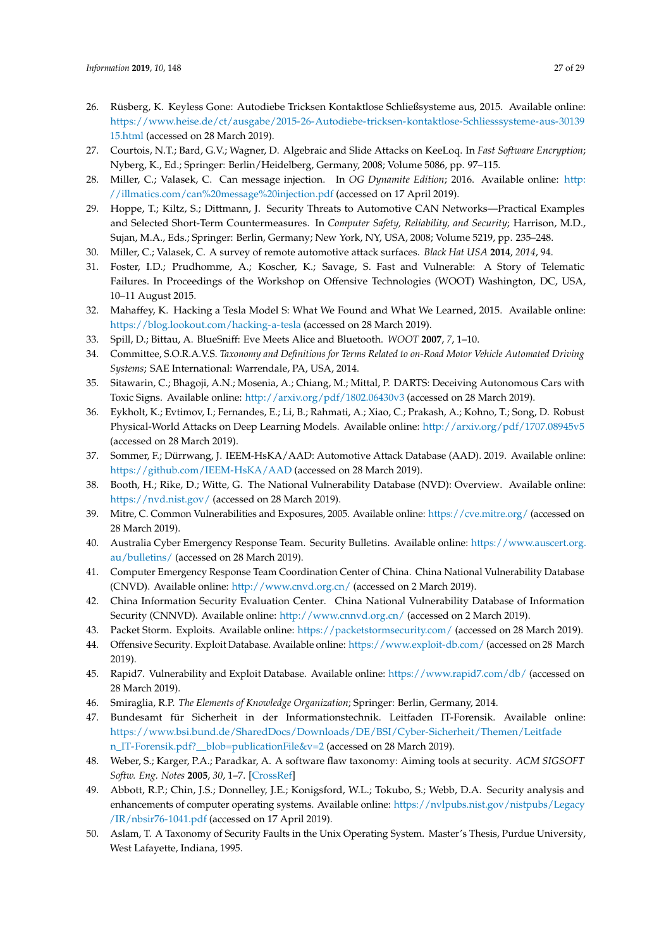- <span id="page-26-17"></span>26. Rüsberg, K. Keyless Gone: Autodiebe Tricksen Kontaktlose Schließsysteme aus, 2015. Available online: [https://www.heise.de/ct/ausgabe/2015-26-Autodiebe-tricksen-kontaktlose-Schliesssysteme-aus-30139](https://www.heise.de/ct/ausgabe/2015-26-Autodiebe-tricksen-kontaktlose-Schliesssysteme-aus-3013915.html) [15.html](https://www.heise.de/ct/ausgabe/2015-26-Autodiebe-tricksen-kontaktlose-Schliesssysteme-aus-3013915.html) (accessed on 28 March 2019).
- <span id="page-26-0"></span>27. Courtois, N.T.; Bard, G.V.; Wagner, D. Algebraic and Slide Attacks on KeeLoq. In *Fast Software Encryption*; Nyberg, K., Ed.; Springer: Berlin/Heidelberg, Germany, 2008; Volume 5086, pp. 97–115.
- <span id="page-26-1"></span>28. Miller, C.; Valasek, C. Can message injection. In *OG Dynamite Edition*; 2016. Available online: [http:](http://illmatics.com/can%20message%20injection.pdf) [//illmatics.com/can%20message%20injection.pdf](http://illmatics.com/can%20message%20injection.pdf) (accessed on 17 April 2019).
- <span id="page-26-2"></span>29. Hoppe, T.; Kiltz, S.; Dittmann, J. Security Threats to Automotive CAN Networks—Practical Examples and Selected Short-Term Countermeasures. In *Computer Safety, Reliability, and Security*; Harrison, M.D., Sujan, M.A., Eds.; Springer: Berlin, Germany; New York, NY, USA, 2008; Volume 5219, pp. 235–248.
- <span id="page-26-3"></span>30. Miller, C.; Valasek, C. A survey of remote automotive attack surfaces. *Black Hat USA* **2014**, *2014*, 94.
- 31. Foster, I.D.; Prudhomme, A.; Koscher, K.; Savage, S. Fast and Vulnerable: A Story of Telematic Failures. In Proceedings of the Workshop on Offensive Technologies (WOOT) Washington, DC, USA, 10–11 August 2015.
- 32. Mahaffey, K. Hacking a Tesla Model S: What We Found and What We Learned, 2015. Available online: <https://blog.lookout.com/hacking-a-tesla> (accessed on 28 March 2019).
- <span id="page-26-4"></span>33. Spill, D.; Bittau, A. BlueSniff: Eve Meets Alice and Bluetooth. *WOOT* **2007**, *7*, 1–10.
- <span id="page-26-5"></span>34. Committee, S.O.R.A.V.S. *Taxonomy and Definitions for Terms Related to on-Road Motor Vehicle Automated Driving Systems*; SAE International: Warrendale, PA, USA, 2014.
- <span id="page-26-6"></span>35. Sitawarin, C.; Bhagoji, A.N.; Mosenia, A.; Chiang, M.; Mittal, P. DARTS: Deceiving Autonomous Cars with Toxic Signs. Available online: <http://arxiv.org/pdf/1802.06430v3> (accessed on 28 March 2019).
- <span id="page-26-7"></span>36. Eykholt, K.; Evtimov, I.; Fernandes, E.; Li, B.; Rahmati, A.; Xiao, C.; Prakash, A.; Kohno, T.; Song, D. Robust Physical-World Attacks on Deep Learning Models. Available online: <http://arxiv.org/pdf/1707.08945v5> (accessed on 28 March 2019).
- <span id="page-26-8"></span>37. Sommer, F.; Dürrwang, J. IEEM-HsKA/AAD: Automotive Attack Database (AAD). 2019. Available online: <https://github.com/IEEM-HsKA/AAD> (accessed on 28 March 2019).
- <span id="page-26-9"></span>38. Booth, H.; Rike, D.; Witte, G. The National Vulnerability Database (NVD): Overview. Available online: <https://nvd.nist.gov/> (accessed on 28 March 2019).
- <span id="page-26-10"></span>39. Mitre, C. Common Vulnerabilities and Exposures, 2005. Available online: <https://cve.mitre.org/> (accessed on 28 March 2019).
- <span id="page-26-11"></span>40. Australia Cyber Emergency Response Team. Security Bulletins. Available online: [https://www.auscert.org.](https://www.auscert.org.au/bulletins/) [au/bulletins/](https://www.auscert.org.au/bulletins/) (accessed on 28 March 2019).
- 41. Computer Emergency Response Team Coordination Center of China. China National Vulnerability Database (CNVD). Available online: <http://www.cnvd.org.cn/> (accessed on 2 March 2019).
- 42. China Information Security Evaluation Center. China National Vulnerability Database of Information Security (CNNVD). Available online: <http://www.cnnvd.org.cn/> (accessed on 2 March 2019).
- <span id="page-26-18"></span>43. Packet Storm. Exploits. Available online: <https://packetstormsecurity.com/> (accessed on 28 March 2019).
- 44. Offensive Security. Exploit Database. Available online: <https://www.exploit-db.com/> (accessed on 28 March 2019).
- <span id="page-26-12"></span>45. Rapid7. Vulnerability and Exploit Database. Available online: <https://www.rapid7.com/db/> (accessed on 28 March 2019).
- <span id="page-26-14"></span><span id="page-26-13"></span>46. Smiraglia, R.P. *The Elements of Knowledge Organization*; Springer: Berlin, Germany, 2014.
- 47. Bundesamt für Sicherheit in der Informationstechnik. Leitfaden IT-Forensik. Available online: [https://www.bsi.bund.de/SharedDocs/Downloads/DE/BSI/Cyber-Sicherheit/Themen/Leitfade](https://www.bsi.bund.de/SharedDocs/Downloads/DE/BSI/Cyber-Sicherheit/Themen/Leitfaden_IT-Forensik.pdf?__blob=publicationFile&v=2) [n\\_IT-Forensik.pdf?\\_\\_blob=publicationFile&v=2](https://www.bsi.bund.de/SharedDocs/Downloads/DE/BSI/Cyber-Sicherheit/Themen/Leitfaden_IT-Forensik.pdf?__blob=publicationFile&v=2) (accessed on 28 March 2019).
- <span id="page-26-15"></span>48. Weber, S.; Karger, P.A.; Paradkar, A. A software flaw taxonomy: Aiming tools at security. *ACM SIGSOFT Softw. Eng. Notes* **2005**, *30*, 1–7. [\[CrossRef\]](http://dx.doi.org/10.1145/1082983.1083209)
- <span id="page-26-16"></span>49. Abbott, R.P.; Chin, J.S.; Donnelley, J.E.; Konigsford, W.L.; Tokubo, S.; Webb, D.A. Security analysis and enhancements of computer operating systems. Available online: [https://nvlpubs.nist.gov/nistpubs/Legacy](https://nvlpubs.nist.gov/nistpubs/Legacy/IR/nbsir76-1041.pdf) [/IR/nbsir76-1041.pdf](https://nvlpubs.nist.gov/nistpubs/Legacy/IR/nbsir76-1041.pdf) (accessed on 17 April 2019).
- 50. Aslam, T. A Taxonomy of Security Faults in the Unix Operating System. Master's Thesis, Purdue University, West Lafayette, Indiana, 1995.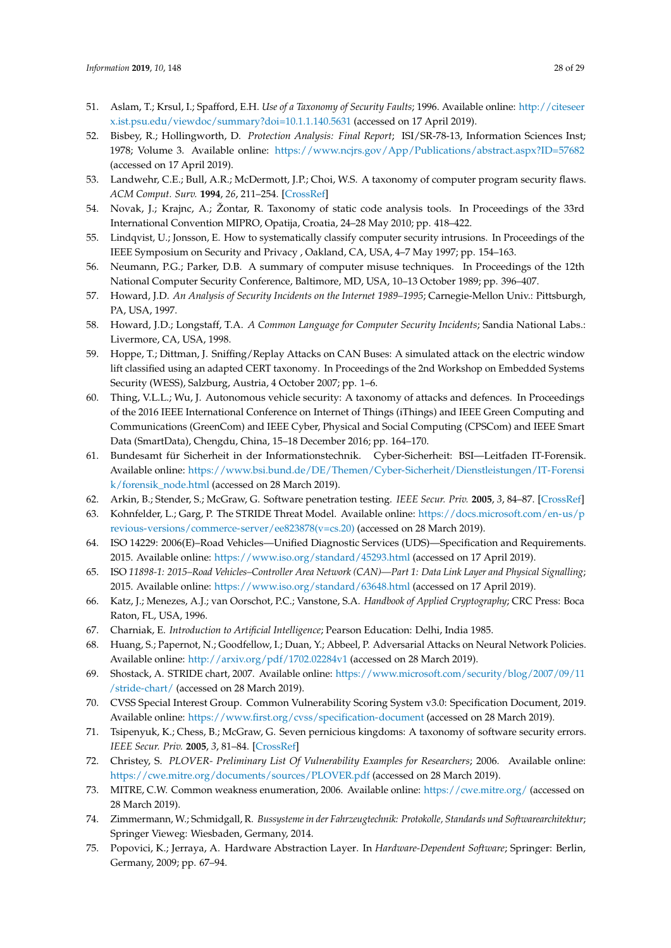- 51. Aslam, T.; Krsul, I.; Spafford, E.H. *Use of a Taxonomy of Security Faults*; 1996. Available online: [http://citeseer](http://citeseerx.ist.psu.edu/viewdoc/summary?doi=10.1.1.140.5631) [x.ist.psu.edu/viewdoc/summary?doi=10.1.1.140.5631](http://citeseerx.ist.psu.edu/viewdoc/summary?doi=10.1.1.140.5631) (accessed on 17 April 2019).
- 52. Bisbey, R.; Hollingworth, D. *Protection Analysis: Final Report*; ISI/SR-78-13, Information Sciences Inst; 1978; Volume 3. Available online: <https://www.ncjrs.gov/App/Publications/abstract.aspx?ID=57682> (accessed on 17 April 2019).
- <span id="page-27-0"></span>53. Landwehr, C.E.; Bull, A.R.; McDermott, J.P.; Choi, W.S. A taxonomy of computer program security flaws. *ACM Comput. Surv.* **1994**, *26*, 211–254. [\[CrossRef\]](http://dx.doi.org/10.1145/185403.185412)
- <span id="page-27-1"></span>54. Novak, J.; Krajnc, A.; Žontar, R. Taxonomy of static code analysis tools. In Proceedings of the 33rd International Convention MIPRO, Opatija, Croatia, 24–28 May 2010; pp. 418–422.
- <span id="page-27-2"></span>55. Lindqvist, U.; Jonsson, E. How to systematically classify computer security intrusions. In Proceedings of the IEEE Symposium on Security and Privacy , Oakland, CA, USA, 4–7 May 1997; pp. 154–163.
- <span id="page-27-3"></span>56. Neumann, P.G.; Parker, D.B. A summary of computer misuse techniques. In Proceedings of the 12th National Computer Security Conference, Baltimore, MD, USA, 10–13 October 1989; pp. 396–407.
- <span id="page-27-4"></span>57. Howard, J.D. *An Analysis of Security Incidents on the Internet 1989–1995*; Carnegie-Mellon Univ.: Pittsburgh, PA, USA, 1997.
- <span id="page-27-5"></span>58. Howard, J.D.; Longstaff, T.A. *A Common Language for Computer Security Incidents*; Sandia National Labs.: Livermore, CA, USA, 1998.
- <span id="page-27-6"></span>59. Hoppe, T.; Dittman, J. Sniffing/Replay Attacks on CAN Buses: A simulated attack on the electric window lift classified using an adapted CERT taxonomy. In Proceedings of the 2nd Workshop on Embedded Systems Security (WESS), Salzburg, Austria, 4 October 2007; pp. 1–6.
- <span id="page-27-7"></span>60. Thing, V.L.L.; Wu, J. Autonomous vehicle security: A taxonomy of attacks and defences. In Proceedings of the 2016 IEEE International Conference on Internet of Things (iThings) and IEEE Green Computing and Communications (GreenCom) and IEEE Cyber, Physical and Social Computing (CPSCom) and IEEE Smart Data (SmartData), Chengdu, China, 15–18 December 2016; pp. 164–170.
- <span id="page-27-8"></span>61. Bundesamt für Sicherheit in der Informationstechnik. Cyber-Sicherheit: BSI—Leitfaden IT-Forensik. Available online: [https://www.bsi.bund.de/DE/Themen/Cyber-Sicherheit/Dienstleistungen/IT-Forensi](https://www.bsi.bund.de/DE/Themen/Cyber-Sicherheit/Dienstleistungen/IT-Forensik/forensik_node.html) [k/forensik\\_node.html](https://www.bsi.bund.de/DE/Themen/Cyber-Sicherheit/Dienstleistungen/IT-Forensik/forensik_node.html) (accessed on 28 March 2019).
- <span id="page-27-9"></span>62. Arkin, B.; Stender, S.; McGraw, G. Software penetration testing. *IEEE Secur. Priv.* **2005**, *3*, 84–87. [\[CrossRef\]](http://dx.doi.org/10.1109/MSP.2005.23)
- <span id="page-27-10"></span>63. Kohnfelder, L.; Garg, P. The STRIDE Threat Model. Available online: [https://docs.microsoft.com/en-us/p](https://docs.microsoft.com/en-us/previous-versions/commerce-server/ee823878(v=cs.20)) [revious-versions/commerce-server/ee823878\(v=cs.20\)](https://docs.microsoft.com/en-us/previous-versions/commerce-server/ee823878(v=cs.20)) (accessed on 28 March 2019).
- <span id="page-27-11"></span>64. ISO 14229: 2006(E)–Road Vehicles—Unified Diagnostic Services (UDS)—Specification and Requirements. 2015. Available online: <https://www.iso.org/standard/45293.html> (accessed on 17 April 2019).
- <span id="page-27-12"></span>65. ISO *11898-1: 2015–Road Vehicles–Controller Area Network (CAN)—Part 1: Data Link Layer and Physical Signalling*; 2015. Available online: <https://www.iso.org/standard/63648.html> (accessed on 17 April 2019).
- <span id="page-27-13"></span>66. Katz, J.; Menezes, A.J.; van Oorschot, P.C.; Vanstone, S.A. *Handbook of Applied Cryptography*; CRC Press: Boca Raton, FL, USA, 1996.
- <span id="page-27-14"></span>67. Charniak, E. *Introduction to Artificial Intelligence*; Pearson Education: Delhi, India 1985.
- <span id="page-27-15"></span>68. Huang, S.; Papernot, N.; Goodfellow, I.; Duan, Y.; Abbeel, P. Adversarial Attacks on Neural Network Policies. Available online: <http://arxiv.org/pdf/1702.02284v1> (accessed on 28 March 2019).
- <span id="page-27-16"></span>69. Shostack, A. STRIDE chart, 2007. Available online: [https://www.microsoft.com/security/blog/2007/09/11](https://www.microsoft.com/security/blog/2007/09/11/stride-chart/) [/stride-chart/](https://www.microsoft.com/security/blog/2007/09/11/stride-chart/) (accessed on 28 March 2019).
- <span id="page-27-17"></span>70. CVSS Special Interest Group. Common Vulnerability Scoring System v3.0: Specification Document, 2019. Available online: <https://www.first.org/cvss/specification-document> (accessed on 28 March 2019).
- <span id="page-27-18"></span>71. Tsipenyuk, K.; Chess, B.; McGraw, G. Seven pernicious kingdoms: A taxonomy of software security errors. *IEEE Secur. Priv.* **2005**, *3*, 81–84. [\[CrossRef\]](http://dx.doi.org/10.1109/MSP.2005.159)
- <span id="page-27-19"></span>72. Christey, S. *PLOVER- Preliminary List Of Vulnerability Examples for Researchers*; 2006. Available online: <https://cwe.mitre.org/documents/sources/PLOVER.pdf> (accessed on 28 March 2019).
- <span id="page-27-20"></span>73. MITRE, C.W. Common weakness enumeration, 2006. Available online: <https://cwe.mitre.org/> (accessed on 28 March 2019).
- <span id="page-27-21"></span>74. Zimmermann, W.; Schmidgall, R. *Bussysteme in der Fahrzeugtechnik: Protokolle, Standards und Softwarearchitektur*; Springer Vieweg: Wiesbaden, Germany, 2014.
- <span id="page-27-22"></span>75. Popovici, K.; Jerraya, A. Hardware Abstraction Layer. In *Hardware-Dependent Software*; Springer: Berlin, Germany, 2009; pp. 67–94.